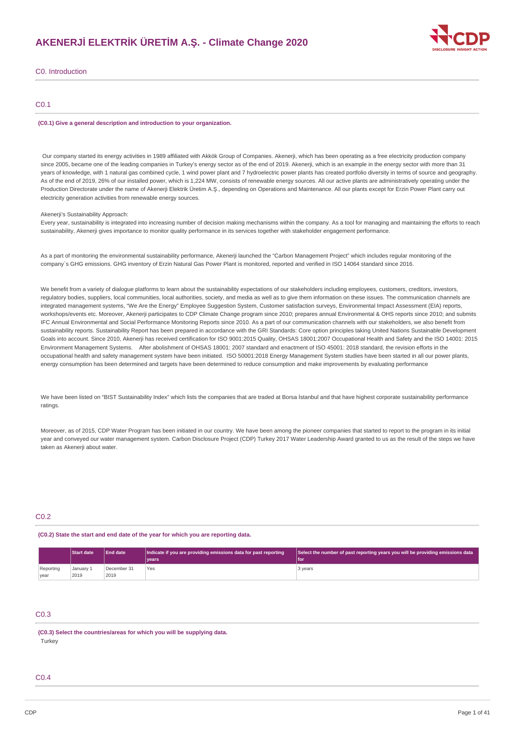# **AKENERJİ ELEKTRİK ÜRETİM A.Ş. - Climate Change 2020**



C0. Introduction

### C0.1

#### **(C0.1) Give a general description and introduction to your organization.**

Our company started its energy activities in 1989 affiliated with Akkök Group of Companies. Akenerji, which has been operating as a free electricity production company since 2005, became one of the leading companies in Turkey's energy sector as of the end of 2019. Akenerji, which is an example in the energy sector with more than 31 years of knowledge, with 1 natural gas combined cycle, 1 wind power plant and 7 hydroelectric power plants has created portfolio diversity in terms of source and geography. As of the end of 2019, 26% of our installed power, which is 1,224 MW, consists of renewable energy sources. All our active plants are administratively operating under the Production Directorate under the name of Akenerji Elektrik Üretim A.Ş., depending on Operations and Maintenance. All our plants except for Erzin Power Plant carry out electricity generation activities from renewable energy sources.

Akenerji's Sustainability Approach:

Every year, sustainability is integrated into increasing number of decision making mechanisms within the company. As a tool for managing and maintaining the efforts to reach sustainability, Akenerji gives importance to monitor quality performance in its services together with stakeholder engagement performance.

As a part of monitoring the environmental sustainability performance, Akenerji launched the "Carbon Management Project" which includes regular monitoring of the company`s GHG emissions. GHG inventory of Erzin Natural Gas Power Plant is monitored, reported and verified in ISO 14064 standard since 2016.

We benefit from a variety of dialogue platforms to learn about the sustainability expectations of our stakeholders including employees, customers, creditors, investors, regulatory bodies, suppliers, local communities, local authorities, society, and media as well as to give them information on these issues. The communication channels are integrated management systems, "We Are the Energy" Employee Suggestion System, Customer satisfaction surveys, Environmental Impact Assessment (EIA) reports, workshops/events etc. Moreover, Akenerii participates to CDP Climate Change program since 2010; prepares annual Environmental & OHS reports since 2010; and submits IFC Annual Environmental and Social Performance Monitoring Reports since 2010. As a part of our communication channels with our stakeholders, we also benefit from sustainability reports. Sustainability Report has been prepared in accordance with the GRI Standards: Core option principles taking United Nations Sustainable Development Goals into account. Since 2010, Akenerji has received certification for ISO 9001:2015 Quality, OHSAS 18001:2007 Occupational Health and Safety and the ISO 14001: 2015 Environment Management Systems. After abolishment of OHSAS 18001: 2007 standard and enactment of ISO 45001: 2018 standard, the revision efforts in the occupational health and safety management system have been initiated. ISO 50001:2018 Energy Management System studies have been started in all our power plants, energy consumption has been determined and targets have been determined to reduce consumption and make improvements by evaluating performance

We have been listed on "BIST Sustainability Index" which lists the companies that are traded at Borsa İstanbul and that have highest corporate sustainability performance ratings.

Moreover, as of 2015, CDP Water Program has been initiated in our country. We have been among the pioneer companies that started to report to the program in its initial year and conveyed our water management system. Carbon Disclosure Project (CDP) Turkey 2017 Water Leadership Award granted to us as the result of the steps we have taken as Akenerji about water.

### C<sub>0.2</sub>

**(C0.2) State the start and end date of the year for which you are reporting data.**

|           | <b>End date</b><br><b>Start date</b> |             | Indicate if you are providing emissions data for past reporting | Select the number of past reporting years you will be providing emissions data |  |
|-----------|--------------------------------------|-------------|-----------------------------------------------------------------|--------------------------------------------------------------------------------|--|
|           |                                      |             | vears                                                           | l for                                                                          |  |
| Reporting | Januarv 1                            | December 31 | Yes                                                             | 3 years                                                                        |  |
| vear      | 2019                                 | 2019        |                                                                 |                                                                                |  |

# C0.3

### **(C0.3) Select the countries/areas for which you will be supplying data. Turkey**

### $CO<sub>4</sub>$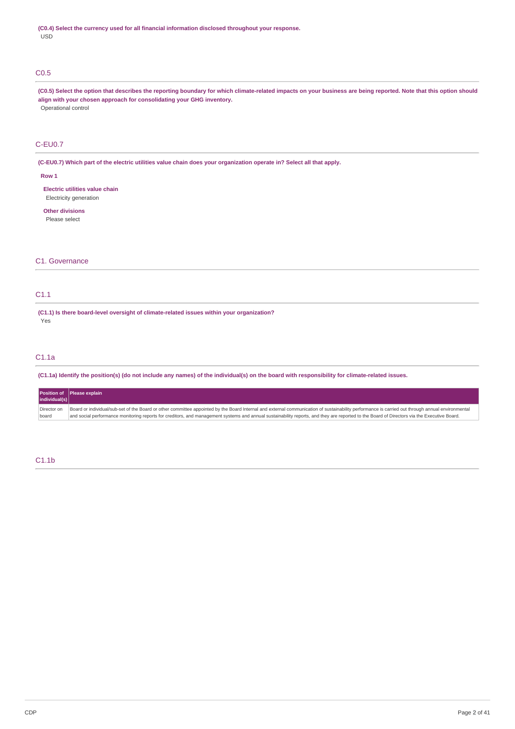# C0.5

(C0.5) Select the option that describes the reporting boundary for which climate-related impacts on your business are being reported. Note that this option should **align with your chosen approach for consolidating your GHG inventory.** Operational control

# C-EU0.7

(C-EU0.7) Which part of the electric utilities value chain does your organization operate in? Select all that apply.

#### **Row 1**

**Electric utilities value chain** Electricity generation

**Other divisions** Please select

# C1. Governance

# C1.1

**(C1.1) Is there board-level oversight of climate-related issues within your organization?** Yes

# C1.1a

(C1.1a) Identify the position(s) (do not include any names) of the individual(s) on the board with responsibility for climate-related issues.

|                      | Position of Please explain                                                                                                                                                                                                                                                                                                                                                                      |
|----------------------|-------------------------------------------------------------------------------------------------------------------------------------------------------------------------------------------------------------------------------------------------------------------------------------------------------------------------------------------------------------------------------------------------|
| individual(s)        |                                                                                                                                                                                                                                                                                                                                                                                                 |
| Director on<br>board | Board or individual/sub-set of the Board or other committee appointed by the Board Internal and external communication of sustainability performance is carried out through annual environmental<br>and social performance monitoring reports for creditors, and management systems and annual sustainability reports, and they are reported to the Board of Directors via the Executive Board. |

# C1.1b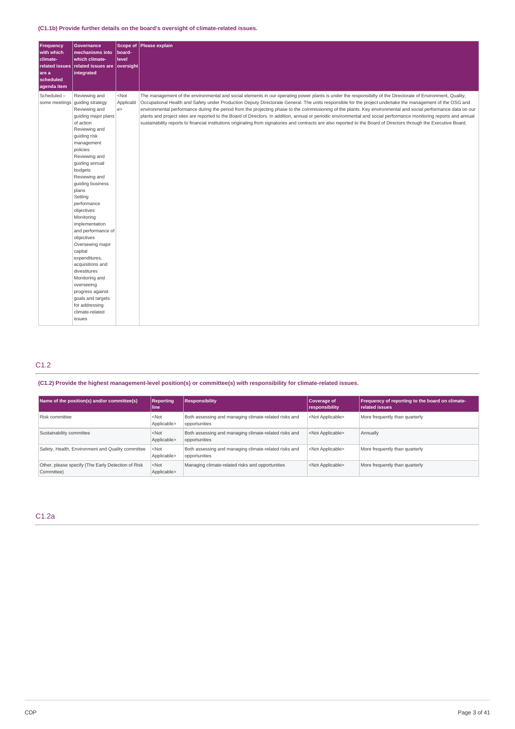# **(C1.1b) Provide further details on the board's oversight of climate-related issues.**

| <b>Frequency</b><br>with which<br>climate-<br>are a<br>scheduled<br>agenda item | <b>Governance</b><br>mechanisms into<br>which climate-<br>related issues related issues are oversight<br>integrated                                                                                                                                                                                                                                                                                                                                                                                                                                                                 | Scope of<br>board-<br>level | Please explain                                                                                                                                                                                                                                                                                                                                                                                                                                                                                                                                                                                                                                                                                                                                                                                                                             |
|---------------------------------------------------------------------------------|-------------------------------------------------------------------------------------------------------------------------------------------------------------------------------------------------------------------------------------------------------------------------------------------------------------------------------------------------------------------------------------------------------------------------------------------------------------------------------------------------------------------------------------------------------------------------------------|-----------------------------|--------------------------------------------------------------------------------------------------------------------------------------------------------------------------------------------------------------------------------------------------------------------------------------------------------------------------------------------------------------------------------------------------------------------------------------------------------------------------------------------------------------------------------------------------------------------------------------------------------------------------------------------------------------------------------------------------------------------------------------------------------------------------------------------------------------------------------------------|
| Scheduled-                                                                      | Reviewing and<br>some meetings guiding strategy<br>Reviewing and<br>quiding major plans<br>of action<br>Reviewing and<br>guiding risk<br>management<br>policies<br>Reviewing and<br>guiding annual<br>budgets<br>Reviewing and<br>guiding business<br>plans<br>Setting<br>performance<br>objectives<br>Monitoring<br>implementation<br>and performance of<br>objectives<br>Overseeing major<br>capital<br>expenditures,<br>acquisitions and<br>divestitures<br>Monitoring and<br>overseeing<br>progress against<br>goals and targets<br>for addressing<br>climate-related<br>issues | $<$ Not<br>Applicabl<br>e   | The management of the environmental and social elements in our operating power plants is under the responsibilty of the Directorate of Environment, Quality,<br>Occupational Health and Safety under Production Deputy Directorate General. The units responsible for the project undertake the management of the OSG and<br>environmental performance during the period from the projecting phase to the commissioning of the plants. Key environmental and social performance data on our<br>plants and project sites are reported to the Board of Directors. In addition, annual or periodic environmental and social performance monitoring reports and annual<br>sustainability reports to financial institutions originating from signatories and contracts are also reported to the Board of Directors through the Executive Board. |

# C1.2

**(C1.2) Provide the highest management-level position(s) or committee(s) with responsibility for climate-related issues.**

| Name of the position(s) and/or committee(s)                      | <b>Reporting</b><br>l line | <b>Responsibility</b>                                                  | Coverage of<br>responsibility | Frequency of reporting to the board on climate-<br><b>related issues</b> |
|------------------------------------------------------------------|----------------------------|------------------------------------------------------------------------|-------------------------------|--------------------------------------------------------------------------|
| Risk committee                                                   | $<$ Not<br>Applicable>     | Both assessing and managing climate-related risks and<br>opportunities | <not applicable=""></not>     | More frequently than quarterly                                           |
| Sustainability committee                                         | $<$ Not<br>Applicable>     | Both assessing and managing climate-related risks and<br>opportunities | <not applicable=""></not>     | Annually                                                                 |
| Safety, Health, Environment and Quality committee                | $<$ Not<br>Applicable>     | Both assessing and managing climate-related risks and<br>opportunities | <not applicable=""></not>     | More frequently than quarterly                                           |
| Other, please specify (The Early Detection of Risk<br>Committee) | $<$ Not<br>Applicable>     | Managing climate-related risks and opportunities                       | <not applicable=""></not>     | More frequently than quarterly                                           |

# C1.2a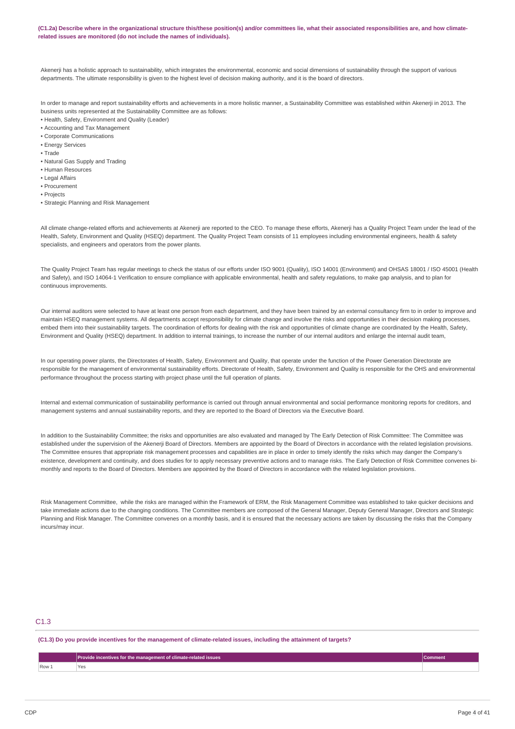(C1.2a) Describe where in the organizational structure this/these position(s) and/or committees lie, what their associated responsibilities are, and how climate**related issues are monitored (do not include the names of individuals).**

Akenerji has a holistic approach to sustainability, which integrates the environmental, economic and social dimensions of sustainability through the support of various departments. The ultimate responsibility is given to the highest level of decision making authority, and it is the board of directors.

In order to manage and report sustainability efforts and achievements in a more holistic manner, a Sustainability Committee was established within Akenerji in 2013. The business units represented at the Sustainability Committee are as follows:

- Health, Safety, Environment and Quality (Leader)
- Accounting and Tax Management
- Corporate Communications
- Energy Services
- Trade
- Natural Gas Supply and Trading
- Human Resources
- Legal Affairs
- Procurement
- Projects
- Strategic Planning and Risk Management

All climate change-related efforts and achievements at Akenerji are reported to the CEO. To manage these efforts, Akenerji has a Quality Project Team under the lead of the Health, Safety, Environment and Quality (HSEQ) department. The Quality Project Team consists of 11 employees including environmental engineers, health & safety specialists, and engineers and operators from the power plants.

The Quality Project Team has regular meetings to check the status of our efforts under ISO 9001 (Quality), ISO 14001 (Environment) and OHSAS 18001 / ISO 45001 (Health and Safety), and ISO 14064-1 Verification to ensure compliance with applicable environmental, health and safety regulations, to make gap analysis, and to plan for continuous improvements.

Our internal auditors were selected to have at least one person from each department, and they have been trained by an external consultancy firm to in order to improve and maintain HSEQ management systems. All departments accept responsibility for climate change and involve the risks and opportunities in their decision making processes, embed them into their sustainability targets. The coordination of efforts for dealing with the risk and opportunities of climate change are coordinated by the Health, Safety, Environment and Quality (HSEQ) department. In addition to internal trainings, to increase the number of our internal auditors and enlarge the internal audit team,

In our operating power plants, the Directorates of Health, Safety, Environment and Quality, that operate under the function of the Power Generation Directorate are responsible for the management of environmental sustainability efforts. Directorate of Health, Safety, Environment and Quality is responsible for the OHS and environmental performance throughout the process starting with project phase until the full operation of plants.

Internal and external communication of sustainability performance is carried out through annual environmental and social performance monitoring reports for creditors, and management systems and annual sustainability reports, and they are reported to the Board of Directors via the Executive Board.

In addition to the Sustainability Committee; the risks and opportunities are also evaluated and managed by The Early Detection of Risk Committee: The Committee was established under the supervision of the Akenerji Board of Directors. Members are appointed by the Board of Directors in accordance with the related legislation provisions. The Committee ensures that appropriate risk management processes and capabilities are in place in order to timely identify the risks which may danger the Company's existence, development and continuity, and does studies for to apply necessary preventive actions and to manage risks. The Early Detection of Risk Committee convenes bimonthly and reports to the Board of Directors. Members are appointed by the Board of Directors in accordance with the related legislation provisions.

Risk Management Committee, while the risks are managed within the Framework of ERM, the Risk Management Committee was established to take quicker decisions and take immediate actions due to the changing conditions. The Committee members are composed of the General Manager, Deputy General Manager, Directors and Strategic Planning and Risk Manager. The Committee convenes on a monthly basis, and it is ensured that the necessary actions are taken by discussing the risks that the Company incurs/may incur.

# C1.3

(C1.3) Do you provide incentives for the management of climate-related issues, including the attainment of targets?

|       | ovide incentives for the management of climate-related issues | comment |
|-------|---------------------------------------------------------------|---------|
| Row 1 |                                                               |         |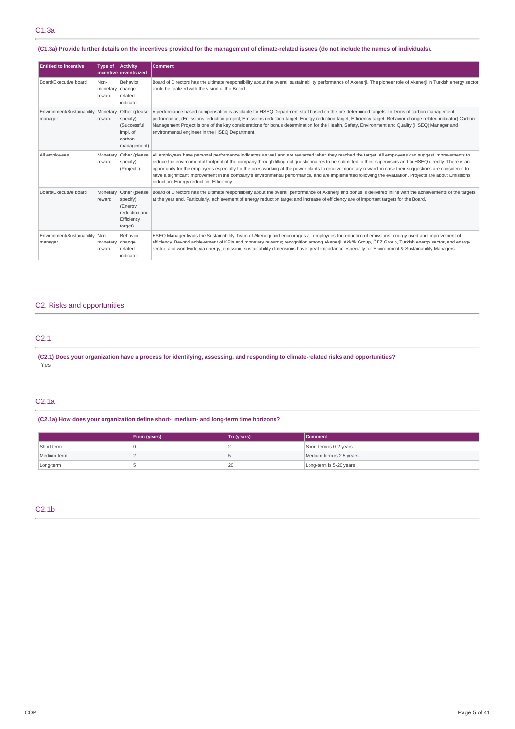(C1.3a) Provide further details on the incentives provided for the management of climate-related issues (do not include the names of individuals).

| <b>Entitled to incentive</b>                     | <b>Type of</b>                    | Activity<br>incentive inventivized                                             | <b>Comment</b>                                                                                                                                                                                                                                                                                                                                                                                                                                                                                                                                                                                                                                                                       |
|--------------------------------------------------|-----------------------------------|--------------------------------------------------------------------------------|--------------------------------------------------------------------------------------------------------------------------------------------------------------------------------------------------------------------------------------------------------------------------------------------------------------------------------------------------------------------------------------------------------------------------------------------------------------------------------------------------------------------------------------------------------------------------------------------------------------------------------------------------------------------------------------|
| Board/Executive board                            | Non-<br>monetary change<br>reward | <b>Behavior</b><br>related<br>indicator                                        | Board of Directors has the ultimate responsibility about the overall sustainability performance of Akenerji. The pioneer role of Akenerji in Turkish energy sector<br>could be realized with the vision of the Board.                                                                                                                                                                                                                                                                                                                                                                                                                                                                |
| Environment/Sustainability   Monetary<br>manager | reward                            | Other (please<br>specify)<br>(Successful<br>impl. of<br>carbon<br>management)  | A performance based compensation is available for HSEQ Department staff based on the pre-determined targets. In terms of carbon management<br>performance, (Emissions reduction project, Emissions reduction target, Energy reduction target, Efficiency target, Behavior change related indicator) Carbon<br>Management Project is one of the key considerations for bonus determination for the Health, Safety, Environment and Quality (HSEQ) Manager and<br>environmental engineer in the HSEQ Department.                                                                                                                                                                       |
| All employees                                    | Monetary<br>reward                | Other (please)<br>specify)<br>(Projects)                                       | All employees have personal performance indicators as well and are rewarded when they reached the target. All employees can suggest improvements to<br>reduce the environmental footprint of the company through filling out questionnaires to be submitted to their supervisors and to HSEO directly. There is an<br>opportunity for the employees especially for the ones working at the power plants to receive monetary reward, in case their suggestions are considered to<br>have a significant improvement in the company's environmental performance, and are implemented following the evaluation. Projects are about Emissions<br>reduction, Energy reduction, Efficiency. |
| Board/Executive board                            | Monetary<br>reward                | Other (please<br>specify)<br>(Energy<br>reduction and<br>Efficiency<br>target) | Board of Directors has the ultimate responsibility about the overall performance of Akenerji and bonus is delivered inline with the achievements of the targets<br>at the year end. Particularly, achievement of energy reduction target and increase of efficiency are of important targets for the Board.                                                                                                                                                                                                                                                                                                                                                                          |
| Environment/Sustainability Non-<br>manager       | monetary<br>reward                | <b>Behavior</b><br>change<br>related<br>indicator                              | HSEO Manager leads the Sustainability Team of Akenerji and encourages all employees for reduction of emissions, energy used and improvement of<br>efficiency. Beyond achievement of KPIs and monetary rewards; recognition among Akenerji, Akkök Group, ČEZ Group, Turkish energy sector, and energy<br>sector, and worldwide via energy, emission, sustainability dimensions have great importance especially for Environment & Sustainability Managers.                                                                                                                                                                                                                            |

# C2. Risks and opportunities

# C2.1

(C2.1) Does your organization have a process for identifying, assessing, and responding to climate-related risks and opportunities? Yes

### C2.1a

**(C2.1a) How does your organization define short-, medium- and long-term time horizons?**

|             | From (years) | To (years) | <b>Comment</b>           |
|-------------|--------------|------------|--------------------------|
| Short-term  |              |            | Short term is 0-2 years  |
| Medium-term |              |            | Medium-term is 2-5 years |
| Long-term   |              | 20         | Long-term is 5-20 years  |

# C2.1b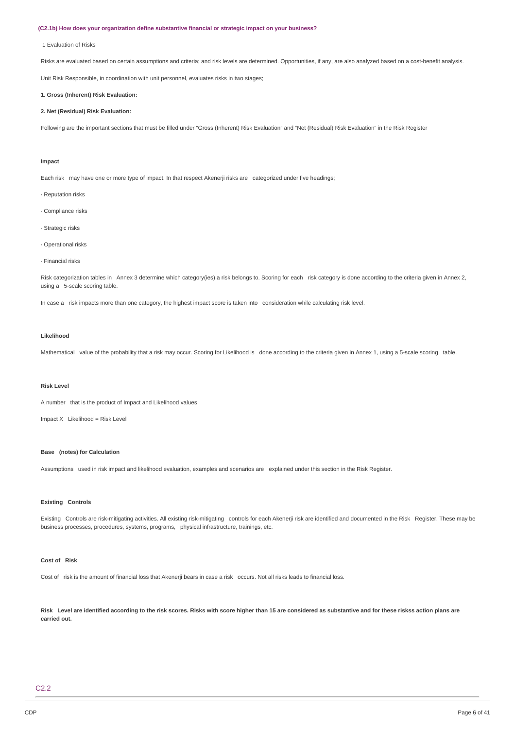#### **(C2.1b) How does your organization define substantive financial or strategic impact on your business?**

#### 1 Evaluation of Risks

Risks are evaluated based on certain assumptions and criteria; and risk levels are determined. Opportunities, if any, are also analyzed based on a cost-benefit analysis.

Unit Risk Responsible, in coordination with unit personnel, evaluates risks in two stages;

### **1. Gross (Inherent) Risk Evaluation:**

### **2. Net (Residual) Risk Evaluation:**

Following are the important sections that must be filled under "Gross (Inherent) Risk Evaluation" and "Net (Residual) Risk Evaluation" in the Risk Register

#### **Impact**

Each risk may have one or more type of impact. In that respect Akenerji risks are categorized under five headings;

- · Reputation risks
- · Compliance risks
- · Strategic risks
- · Operational risks
- · Financial risks

Risk categorization tables in Annex 3 determine which category(ies) a risk belongs to. Scoring for each risk category is done according to the criteria given in Annex 2, using a 5-scale scoring table.

In case a risk impacts more than one category, the highest impact score is taken into consideration while calculating risk level.

### **Likelihood**

Mathematical value of the probability that a risk may occur. Scoring for Likelihood is done according to the criteria given in Annex 1, using a 5-scale scoring table.

#### **Risk Level**

A number that is the product of Impact and Likelihood values

 $Image X$  Likelihood = Risk Level

### **Base (notes) for Calculation**

Assumptions used in risk impact and likelihood evaluation, examples and scenarios are explained under this section in the Risk Register.

#### **Existing Controls**

Existing Controls are risk-mitigating activities. All existing risk-mitigating controls for each Akenerji risk are identified and documented in the Risk Register. These may be business processes, procedures, systems, programs, physical infrastructure, trainings, etc.

#### **Cost of Risk**

Cost of risk is the amount of financial loss that Akenerji bears in case a risk occurs. Not all risks leads to financial loss.

Risk Level are identified according to the risk scores. Risks with score higher than 15 are considered as substantive and for these riskss action plans are **carried out.**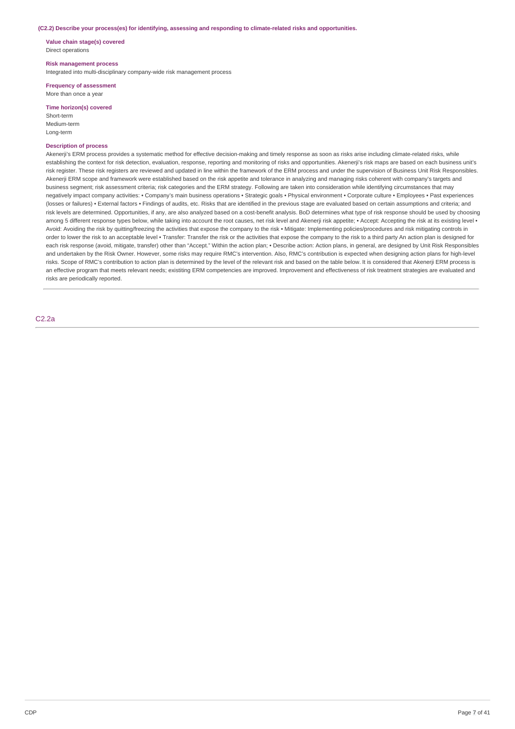#### **(C2.2) Describe your process(es) for identifying, assessing and responding to climate-related risks and opportunities.**

**Value chain stage(s) covered** Direct operations

### **Risk management process**

Integrated into multi-disciplinary company-wide risk management process

**Frequency of assessment** More than once a year

### **Time horizon(s) covered**

Short-term Medium-term Long-term

### **Description of process**

Akenerji's ERM process provides a systematic method for effective decision-making and timely response as soon as risks arise including climate-related risks, while establishing the context for risk detection, evaluation, response, reporting and monitoring of risks and opportunities. Akenerji's risk maps are based on each business unit's risk register. These risk registers are reviewed and updated in line within the framework of the ERM process and under the supervision of Business Unit Risk Responsibles. Akenerji ERM scope and framework were established based on the risk appetite and tolerance in analyzing and managing risks coherent with company's targets and business segment; risk assessment criteria; risk categories and the ERM strategy. Following are taken into consideration while identifying circumstances that may negatively impact company activities: • Company's main business operations • Strategic goals • Physical environment • Corporate culture • Employees • Past experiences (losses or failures) • External factors • Findings of audits, etc. Risks that are identified in the previous stage are evaluated based on certain assumptions and criteria; and risk levels are determined. Opportunities, if any, are also analyzed based on a cost-benefit analysis. BoD determines what type of risk response should be used by choosing among 5 different response types below, while taking into account the root causes, net risk level and Akenerji risk appetite; • Accept: Accepting the risk at its existing level • Avoid: Avoiding the risk by quitting/freezing the activities that expose the company to the risk • Mitigate: Implementing policies/procedures and risk mitigating controls in order to lower the risk to an acceptable level • Transfer: Transfer the risk or the activities that expose the company to the risk to a third party An action plan is designed for each risk response (avoid, mitigate, transfer) other than "Accept." Within the action plan; • Describe action: Action plans, in general, are designed by Unit Risk Responsibles and undertaken by the Risk Owner. However, some risks may require RMC's intervention. Also, RMC's contribution is expected when designing action plans for high-level risks. Scope of RMC's contribution to action plan is determined by the level of the relevant risk and based on the table below. It is considered that Akenerji ERM process is an effective program that meets relevant needs; existiting ERM competencies are improved. Improvement and effectiveness of risk treatment strategies are evaluated and risks are periodically reported.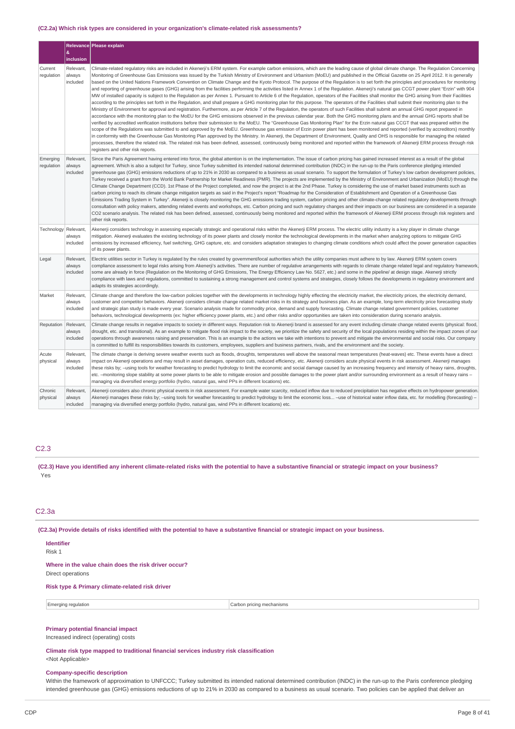#### **(C2.2a) Which risk types are considered in your organization's climate-related risk assessments?**

|                        | &                               | Relevance Please explain                                                                                                                                                                                                                                                                                                                                                                                                                                                                                                                                                                                                                                                                                                                                                                                                                                                                                                                                                                                                                                                                                                                                                                                                                                                                                                                                                                                                                                                                                                                                                                                                                                                                                                                                                                                                                                                                                                                                                                                                                                                                                                                                                                                                                                                                                                                                    |
|------------------------|---------------------------------|-------------------------------------------------------------------------------------------------------------------------------------------------------------------------------------------------------------------------------------------------------------------------------------------------------------------------------------------------------------------------------------------------------------------------------------------------------------------------------------------------------------------------------------------------------------------------------------------------------------------------------------------------------------------------------------------------------------------------------------------------------------------------------------------------------------------------------------------------------------------------------------------------------------------------------------------------------------------------------------------------------------------------------------------------------------------------------------------------------------------------------------------------------------------------------------------------------------------------------------------------------------------------------------------------------------------------------------------------------------------------------------------------------------------------------------------------------------------------------------------------------------------------------------------------------------------------------------------------------------------------------------------------------------------------------------------------------------------------------------------------------------------------------------------------------------------------------------------------------------------------------------------------------------------------------------------------------------------------------------------------------------------------------------------------------------------------------------------------------------------------------------------------------------------------------------------------------------------------------------------------------------------------------------------------------------------------------------------------------------|
|                        | inclusion                       |                                                                                                                                                                                                                                                                                                                                                                                                                                                                                                                                                                                                                                                                                                                                                                                                                                                                                                                                                                                                                                                                                                                                                                                                                                                                                                                                                                                                                                                                                                                                                                                                                                                                                                                                                                                                                                                                                                                                                                                                                                                                                                                                                                                                                                                                                                                                                             |
| Current<br>regulation  | Relevant,<br>always<br>included | Climate-related regulatory risks are included in Akenerji's ERM system. For example carbon emissions, which are the leading cause of global climate change. The Regulation Concerning<br>Monitoring of Greenhouse Gas Emissions was issued by the Turkish Ministry of Environment and Urbanism (MoEU) and published in the Official Gazette on 25 April 2012. It is generally<br>based on the United Nations Framework Convention on Climate Change and the Kyoto Protocol. The purpose of the Regulation is to set forth the principles and procedures for monitoring<br>and reporting of greenhouse gases (GHG) arising from the facilities performing the activities listed in Annex 1 of the Regulation. Akenerji's natural gas CCGT power plant "Erzin" with 904<br>MW of installed capacity is subject to the Regulation as per Annex 1. Pursuant to Article 6 of the Regulation, operators of the Facilities shall monitor the GHG arising from their Facilities<br>according to the principles set forth in the Regulation, and shall prepare a GHG monitoring plan for this purpose. The operators of the Facilities shall submit their monitoring plan to the<br>Ministry of Environment for approval and registration. Furthermore, as per Article 7 of the Regulation, the operators of such Facilities shall submit an annual GHG report prepared in<br>accordance with the monitoring plan to the MoEU for the GHG emissions observed in the previous calendar year. Both the GHG monitoring plans and the annual GHG reports shall be<br>verified by accredited verification institutions before their submission to the MoEU. The "Greenhouse Gas Monitoring Plan" for the Erzin natural gas CCGT that was prepared within the<br>scope of the Regulations was submitted to and approved by the MoEU. Greenhouse gas emission of Erzin power plant has been monitored and reported (verified by accreditors) monthly<br>in conformity with the Greenhouse Gas Monitoring Plan approved by the Ministry. In Akenerji, the Department of Environment, Quality and OHS is responsible for managing the related<br>processes, therefore the related risk. The related risk has been defined, assessed, continuously being monitored and reported within the framework of Akenerji ERM process through risk<br>registers and other risk reports. |
| Emerging<br>regulation | Relevant,<br>always<br>included | Since the Paris Agreement having entered into force, the global attention is on the implementation. The issue of carbon pricing has gained increased interest as a result of the global<br>agreement. Which is also a subject for Turkey, since Turkey submitted its intended national determined contribution (INDC) in the run-up to the Paris conference pledging intended<br>greenhouse gas (GHG) emissions reductions of up to 21% in 2030 as compared to a business as usual scenario. To support the formulation of Turkey's low carbon development policies,<br>Turkey received a grant from the World Bank Partnership for Market Readiness (PMR). The projects are implemented by the Ministry of Environment and Urbanization (MoEU) through the<br>Climate Change Department (CCD). 1st Phase of the Project completed, and now the project is at the 2nd Phase. Turkey is considering the use of market based instruments such as<br>carbon pricing to reach its climate change mitigation targets as said in the Project's report "Roadmap for the Consideration of Establishment and Operation of a Greenhouse Gas<br>Emissions Trading System in Turkey". Akenerji is closely monitoring the GHG emissions trading system, carbon pricing and other climate-change related regulatory developments through<br>consultation with policy makers, attending related events and workshops, etc. Carbon pricing and such regulatory changes and their impacts on our business are considered in a separate<br>CO2 scenario analysis. The related risk has been defined, assessed, continuously being monitored and reported within the framework of Akenerji ERM process through risk registers and<br>other risk reports.                                                                                                                                                                                                                                                                                                                                                                                                                                                                                                                                                                                                                       |
| Technology Relevant,   | always<br>included              | Akenerji considers technology in assessing especially strategic and operational risks within the Akenerji ERM process. The electric utility industry is a key player in climate change<br>mitigation. Akenerji evaluates the existing technology of its power plants and closely monitor the technological developments in the market when analyzing options to mitigate GHG<br>emissions by increased efficiency, fuel switching, GHG capture, etc. and considers adaptation strategies to changing climate conditions which could affect the power generation capacities<br>of its power plants.                                                                                                                                                                                                                                                                                                                                                                                                                                                                                                                                                                                                                                                                                                                                                                                                                                                                                                                                                                                                                                                                                                                                                                                                                                                                                                                                                                                                                                                                                                                                                                                                                                                                                                                                                          |
| Legal                  | Relevant,<br>always<br>included | Electric utilities sector in Turkey is regulated by the rules created by government/local authorities which the utility companies must adhere to by law. Akenerji ERM system covers<br>compliance assessment to legal risks arising from Akenerji's activities. There are number of regulative arrangements with regards to climate change related legal and regulatory framework,<br>some are already in force (Regulation on the Monitoring of GHG Emissions, The Energy Efficiency Law No. 5627, etc.) and some in the pipeline/ at design stage. Akenerji strictly<br>compliance with laws and regulations, committed to sustaining a strong management and control systems and strategies, closely follows the developments in regulatory environment and<br>adapts its strategies accordingly.                                                                                                                                                                                                                                                                                                                                                                                                                                                                                                                                                                                                                                                                                                                                                                                                                                                                                                                                                                                                                                                                                                                                                                                                                                                                                                                                                                                                                                                                                                                                                        |
| Market                 | Relevant,<br>always<br>included | Climate change and therefore the low-carbon policies together with the developments in technology highly effecting the electricity market, the electricity prices, the electricity demand,<br>customer and competitor behaviors. Akenerji considers climate change related market risks in its strategy and business plan. As an example, long-term electricity price forecasting study<br>and strategic plan study is made every year. Scenario analysis made for commodity price, demand and supply forecasting. Climate change related government policies, customer<br>behaviors, technological developments (ex: higher efficiency power plants, etc.) and other risks and/or opportunities are taken into consideration during scenario analysis.                                                                                                                                                                                                                                                                                                                                                                                                                                                                                                                                                                                                                                                                                                                                                                                                                                                                                                                                                                                                                                                                                                                                                                                                                                                                                                                                                                                                                                                                                                                                                                                                     |
| Reputation             | Relevant,<br>always<br>included | Climate change results in negative impacts to society in different ways. Reputation risk to Akenerji brand is assessed for any event including climate change related events (physical: flood,<br>drought, etc. and transitional). As an example to mitigate flood risk impact to the society, we prioritize the safety and security of the local populations residing within the impact zones of our<br>operations through awareness raising and preservation. This is an example to the actions we take with intentions to prevent and mitigate the environmental and social risks. Our company<br>is committed to fulfill its responsibilities towards its customers, employees, suppliers and business partners, rivals, and the environment and the society.                                                                                                                                                                                                                                                                                                                                                                                                                                                                                                                                                                                                                                                                                                                                                                                                                                                                                                                                                                                                                                                                                                                                                                                                                                                                                                                                                                                                                                                                                                                                                                                           |
| Acute<br>physical      | Relevant.<br>always<br>included | The climate change is deriving severe weather events such as floods, droughts, temperatures well above the seasonal mean temperatures (heat-waves) etc. These events have a direct<br>impact on Akenerji operations and may result in asset damages, operation cuts, reduced efficiency, etc. Akenerji considers acute physical events in risk assessment. Akenerji manages<br>these risks by; -using tools for weather forecasting to predict hydrology to limit the economic and social damage caused by an increasing frequency and intensity of heavy rains, droughts,<br>etc. -monitoring slope stability at some power plants to be able to mitigate erosion and possible damages to the power plant and/or surrounding environment as a result of heavy rains -<br>managing via diversified energy portfolio (hydro, natural gas, wind PPs in different locations) etc.                                                                                                                                                                                                                                                                                                                                                                                                                                                                                                                                                                                                                                                                                                                                                                                                                                                                                                                                                                                                                                                                                                                                                                                                                                                                                                                                                                                                                                                                              |
| Chronic<br>physical    | Relevant,<br>always<br>included | Akenerji considers also chronic physical events in risk assessment. For example water scarcity, reduced inflow due to reduced precipitation has negative effects on hydropower generation.<br>Akenerji manages these risks by; -using tools for weather forecasting to predict hydrology to limit the economic loss -use of historical water inflow data, etc. for modelling (forecasting) -<br>managing via diversified energy portfolio (hydro, natural gas, wind PPs in different locations) etc.                                                                                                                                                                                                                                                                                                                                                                                                                                                                                                                                                                                                                                                                                                                                                                                                                                                                                                                                                                                                                                                                                                                                                                                                                                                                                                                                                                                                                                                                                                                                                                                                                                                                                                                                                                                                                                                        |

### C2.3

(C2.3) Have you identified any inherent climate-related risks with the potential to have a substantive financial or strategic impact on your business? Yes

### C2.3a

(C2.3a) Provide details of risks identified with the potential to have a substantive financial or strategic impact on your business.

### **Identifier**

Risk 1

**Where in the value chain does the risk driver occur?** Direct operations

# **Risk type & Primary climate-related risk driver**

Emerging regulation **Carbon pricing mechanisms** Carbon pricing mechanisms

### **Primary potential financial impact**

Increased indirect (operating) costs

### **Climate risk type mapped to traditional financial services industry risk classification**

<Not Applicable>

### **Company-specific description**

Within the framework of approximation to UNFCCC; Turkey submitted its intended national determined contribution (INDC) in the run-up to the Paris conference pledging intended greenhouse gas (GHG) emissions reductions of up to 21% in 2030 as compared to a business as usual scenario. Two policies can be applied that deliver an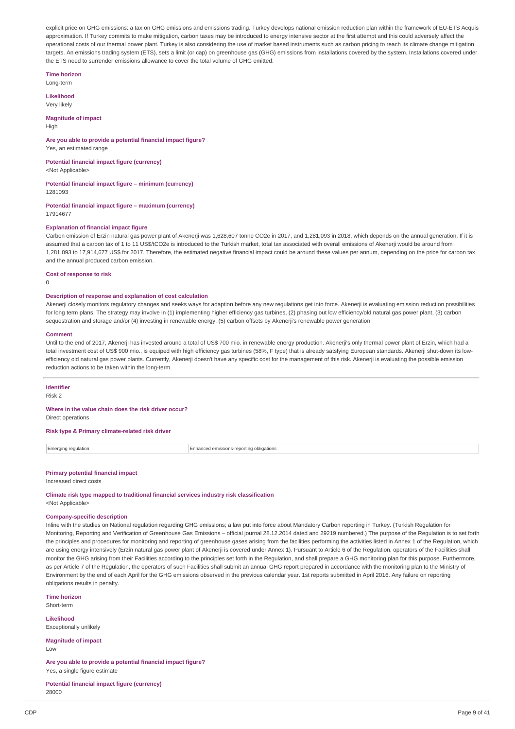explicit price on GHG emissions: a tax on GHG emissions and emissions trading. Turkey develops national emission reduction plan within the framework of EU-ETS Acquis approximation. If Turkey commits to make mitigation, carbon taxes may be introduced to energy intensive sector at the first attempt and this could adversely affect the operational costs of our thermal power plant. Turkey is also considering the use of market based instruments such as carbon pricing to reach its climate change mitigation targets. An emissions trading system (ETS), sets a limit (or cap) on greenhouse gas (GHG) emissions from installations covered by the system. Installations covered under the ETS need to surrender emissions allowance to cover the total volume of GHG emitted.

**Time horizon** Long-term

**Likelihood**

Very likely

**Magnitude of impact**

High

#### **Are you able to provide a potential financial impact figure?** Yes, an estimated range

**Potential financial impact figure (currency)** <Not Applicable>

**Potential financial impact figure – minimum (currency)**

1281093

**Potential financial impact figure – maximum (currency)** 17914677

### **Explanation of financial impact figure**

Carbon emission of Erzin natural gas power plant of Akenerji was 1,628,607 tonne CO2e in 2017, and 1,281,093 in 2018, which depends on the annual generation. If it is assumed that a carbon tax of 1 to 11 US\$/tCO2e is introduced to the Turkish market, total tax associated with overall emissions of Akenerii would be around from 1,281,093 to 17,914,677 US\$ for 2017. Therefore, the estimated negative financial impact could be around these values per annum, depending on the price for carbon tax and the annual produced carbon emission.

**Cost of response to risk**

 $\Omega$ 

### **Description of response and explanation of cost calculation**

Akenerji closely monitors regulatory changes and seeks ways for adaption before any new regulations get into force. Akenerji is evaluating emission reduction possibilities for long term plans. The strategy may involve in (1) implementing higher efficiency gas turbines, (2) phasing out low efficiency/old natural gas power plant, (3) carbon sequestration and storage and/or (4) investing in renewable energy. (5) carbon offsets by Akenerji's renewable power generation

#### **Comment**

Until to the end of 2017, Akenerji has invested around a total of US\$ 700 mio. in renewable energy production. Akenerji's only thermal power plant of Erzin, which had a total investment cost of US\$ 900 mio., is equiped with high efficiency gas turbines (58%, F type) that is already satsfying European standards. Akenerji shut-down its lowefficiency old natural gas power plants. Currently, Akenerji doesn't have any specific cost for the management of this risk. Akenerji is evaluating the possible emission reduction actions to be taken within the long-term.

#### **Identifier**

Risk 2

#### **Where in the value chain does the risk driver occur?** Direct operations

**Risk type & Primary climate-related risk driver**

Emerging regulation **Enhanced emissions-reporting obligations** 

#### **Primary potential financial impact** Increased direct costs

**Climate risk type mapped to traditional financial services industry risk classification** <Not Applicable>

#### **Company-specific description**

Inline with the studies on National regulation regarding GHG emissions; a law put into force about Mandatory Carbon reporting in Turkey. (Turkish Regulation for Monitoring, Reporting and Verification of Greenhouse Gas Emissions – official journal 28.12.2014 dated and 29219 numbered.) The purpose of the Regulation is to set forth the principles and procedures for monitoring and reporting of greenhouse gases arising from the facilities performing the activities listed in Annex 1 of the Regulation, which are using energy intensively (Frzin natural gas power plant of Akenerii is covered under Annex 1). Pursuant to Article 6 of the Regulation, operators of the Facilities shall monitor the GHG arising from their Facilities according to the principles set forth in the Regulation, and shall prepare a GHG monitoring plan for this purpose. Furthermore, as per Article 7 of the Regulation, the operators of such Facilities shall submit an annual GHG report prepared in accordance with the monitoring plan to the Ministry of Environment by the end of each April for the GHG emissions observed in the previous calendar year. 1st reports submitted in April 2016. Any failure on reporting obligations results in penalty.

**Time horizon** Short-term

**Likelihood** Exceptionally unlikely

**Magnitude of impact** Low

**Are you able to provide a potential financial impact figure?** Yes, a single figure estimate

**Potential financial impact figure (currency)** 28000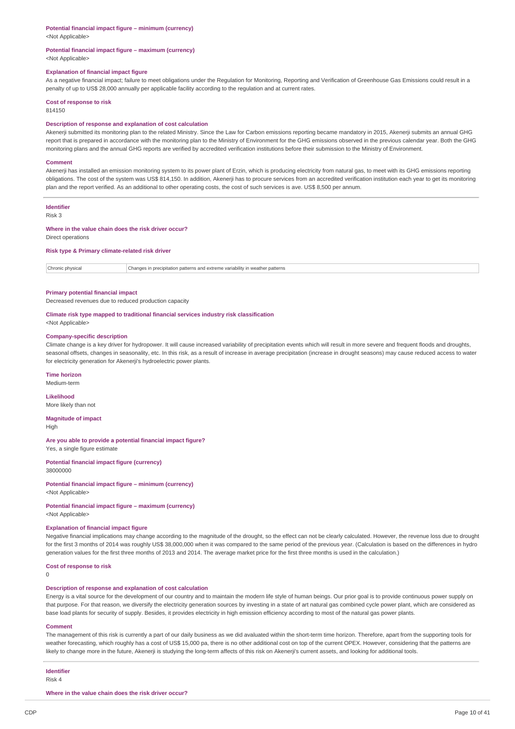#### **Potential financial impact figure – minimum (currency)**

<Not Applicable>

#### **Potential financial impact figure – maximum (currency)** <Not Applicable>

#### **Explanation of financial impact figure**

As a negative financial impact; failure to meet obligations under the Regulation for Monitoring, Reporting and Verification of Greenhouse Gas Emissions could result in a penalty of up to US\$ 28,000 annually per applicable facility according to the regulation and at current rates.

#### **Cost of response to risk**

814150

#### **Description of response and explanation of cost calculation**

Akenerji submitted its monitoring plan to the related Ministry. Since the Law for Carbon emissions reporting became mandatory in 2015, Akenerji submits an annual GHG report that is prepared in accordance with the monitoring plan to the Ministry of Environment for the GHG emissions observed in the previous calendar year. Both the GHG monitoring plans and the annual GHG reports are verified by accredited verification institutions before their submission to the Ministry of Environment.

#### **Comment**

Akenerii has installed an emission monitoring system to its power plant of Erzin, which is producing electricity from natural gas, to meet with its GHG emissions reporting obligations. The cost of the system was US\$ 814,150. In addition, Akenerji has to procure services from an accredited verification institution each year to get its monitoring plan and the report verified. As an additional to other operating costs, the cost of such services is ave. US\$ 8,500 per annum.

#### **Identifier**

Risk 3

#### **Where in the value chain does the risk driver occur?**

Direct operations

### **Risk type & Primary climate-related risk driver**

Chronic physical Changes in precipitation patterns and extreme variability in weather patterns

#### **Primary potential financial impact**

Decreased revenues due to reduced production capacity

#### **Climate risk type mapped to traditional financial services industry risk classification** <Not Applicable>

#### **Company-specific description**

Climate change is a key driver for hydropower. It will cause increased variability of precipitation events which will result in more severe and frequent floods and droughts, seasonal offsets, changes in seasonality, etc. In this risk, as a result of increase in average precipitation (increase in drought seasons) may cause reduced access to water for electricity generation for Akenerji's hydroelectric power plants.

#### **Time horizon**

Medium-term

# **Likelihood**

More likely than not

#### **Magnitude of impact**

High

#### **Are you able to provide a potential financial impact figure?** Yes, a single figure estimate

# **Potential financial impact figure (currency)**

38000000

### **Potential financial impact figure – minimum (currency)**

<Not Applicable>

#### **Potential financial impact figure – maximum (currency)** <Not Applicable>

#### **Explanation of financial impact figure**

Negative financial implications may change according to the magnitude of the drought, so the effect can not be clearly calculated. However, the revenue loss due to drought for the first 3 months of 2014 was roughly US\$ 38,000,000 when it was compared to the same period of the previous year. (Calculation is based on the differences in hydro generation values for the first three months of 2013 and 2014. The average market price for the first three months is used in the calculation.)

### **Cost of response to risk**

 $\Omega$ 

### **Description of response and explanation of cost calculation**

Energy is a vital source for the development of our country and to maintain the modern life style of human beings. Our prior goal is to provide continuous power supply on that purpose. For that reason, we diversify the electricity generation sources by investing in a state of art natural gas combined cycle power plant, which are considered as base load plants for security of supply. Besides, it provides electricity in high emission efficiency according to most of the natural gas power plants.

#### **Comment**

The management of this risk is currently a part of our daily business as we did avaluated within the short-term time horizon. Therefore, apart from the supporting tools for weather forecasting, which roughly has a cost of US\$ 15,000 pa, there is no other additional cost on top of the current OPEX. However, considering that the patterns are likely to change more in the future, Akenerji is studying the long-term affects of this risk on Akenerji's current assets, and looking for additional tools.

# **Identifier**

Risk 4

**Where in the value chain does the risk driver occur?**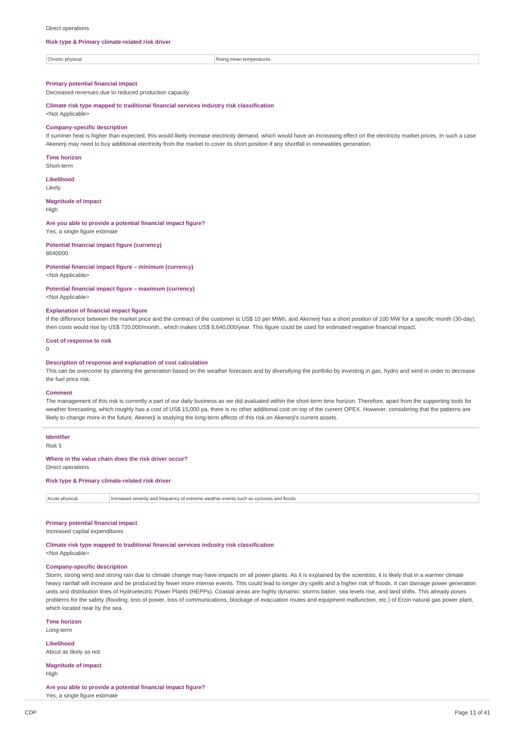#### Direct operations

#### **Risk type & Primary climate-related risk driver**

 $|$  Chronic physical  $|$  Chronic physical  $|$  Rising mean temperatures

### **Primary potential financial impact**

Decreased revenues due to reduced production capacity

**Climate risk type mapped to traditional financial services industry risk classification**

<Not Applicable>

#### **Company-specific description**

If summer heat is higher than expected, this would likely increase electricity demand, which would have an increasing effect on the electricity market prices. In such a case Akenerji may need to buy additional electricity from the market to cover its short position if any shortfall in renewables generation.

**Time horizon**

Short-term

**Likelihood** Likely

**Magnitude of impact**

High

#### **Are you able to provide a potential financial impact figure?**

Yes, a single figure estimate

**Potential financial impact figure (currency)** 8640000

#### **Potential financial impact figure – minimum (currency)**

<Not Applicable>

#### **Potential financial impact figure – maximum (currency)**

<Not Applicable>

#### **Explanation of financial impact figure**

If the difference between the market price and the contract of the customer is US\$ 10 per MWh, and Akenerji has a short position of 100 MW for a specific month (30-day), then costs would rise by US\$ 720,000/month., which makes US\$ 8,640,000/year. This figure could be used for estimated negative financial impact.

#### **Cost of response to risk**

 $\Omega$ 

#### **Description of response and explanation of cost calculation**

This can be overcome by planning the generation based on the weather forecasts and by diversifying the portfolio by investing in gas, hydro and wind in order to decrease the fuel price risk.

#### **Comment**

The management of this risk is currently a part of our daily business as we did avaluated within the short-term time horizon. Therefore, apart from the supporting tools for weather forecasting, which roughly has a cost of US\$ 15,000 pa, there is no other additional cost on top of the current OPEX. However, considering that the patterns are likely to change more in the future, Akenerji is studying the long-term affects of this risk on Akenerji's current assets.

#### **Identifier**

Risk 5

### **Where in the value chain does the risk driver occur?**

Direct operations

**Risk type & Primary climate-related risk driver**

Acute physical Increased severity and frequency of extreme weather events such as cyclones and floods

#### **Primary potential financial impact**

Increased capital expenditures

### **Climate risk type mapped to traditional financial services industry risk classification**

<Not Applicable>

### **Company-specific description**

Storm, strong wind and strong rain due to climate change may have impacts on all power plants. As it is explained by the scientists, it is likely that in a warmer climate heavy rainfall will increase and be produced by fewer more intense events. This could lead to longer dry spells and a higher risk of floods. It can damage power generation units and distribution lines of Hydroelectric Power Plants (HEPPs). Coastal areas are highly dynamic: storms batter, sea levels rise, and land shifts. This already poses problems for the safety (flooding, loss of power, loss of communications, blockage of evacuation routes and equipment malfunction, etc.) of Erzin natural gas power plant, which located near by the sea.

**Time horizon** Long-term

**Likelihood** About as likely as not

**Magnitude of impact** High

**Are you able to provide a potential financial impact figure?** Yes, a single figure estimate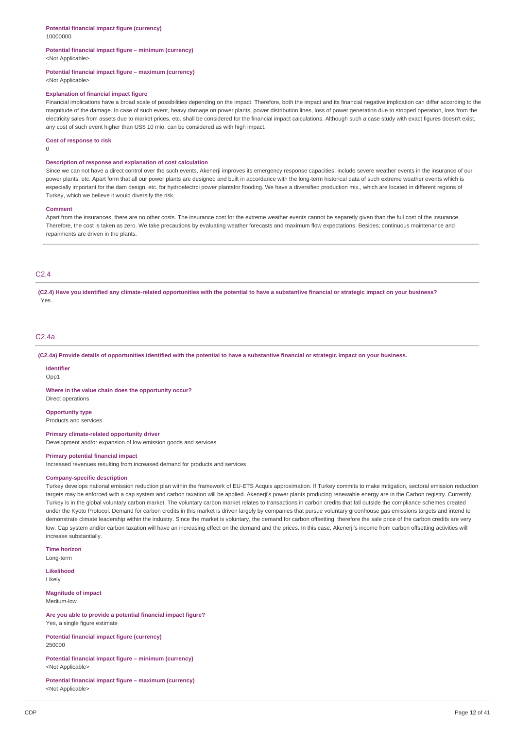#### **Potential financial impact figure – minimum (currency)** <Not Applicable>

**Potential financial impact figure – maximum (currency)**

<Not Applicable>

#### **Explanation of financial impact figure**

Financial implications have a broad scale of possibilities depending on the impact. Therefore, both the impact and its financial negative implication can differ according to the magnitude of the damage. In case of such event, heavy damage on power plants, power distribution lines, loss of power generation due to stopped operation, loss from the electricity sales from assets due to market prices, etc. shall be considered for the financial impact calculations. Although such a case study with exact figures doesn't exist, any cost of such event higher than US\$ 10 mio. can be considered as with high impact.

#### **Cost of response to risk**

 $\Omega$ 

#### **Description of response and explanation of cost calculation**

Since we can not have a direct control over the such events. Akenerii improves its emergency response capacities, include severe weather events in the insurance of our power plants, etc. Apart form that all our power plants are designed and built in accordance with the long-term historical data of such extreme weather events which is especially important for the dam design, etc. for hydroelectrci power plantsfor flooding. We have a diversified production mix., which are located in different regions of Turkey, which we believe it would diversify the risk.

#### **Comment**

Apart from the insurances, there are no other costs. The insurance cost for the extreme weather events cannot be separetly given than the full cost of the insurance. Therefore, the cost is taken as zero. We take precautions by evaluating weather forecasts and maximum flow expectations. Besides; continuous maintenance and repairments are driven in the plants.

### C2.4

(C2.4) Have you identified any climate-related opportunities with the potential to have a substantive financial or strategic impact on your business? Yes

### C2.4a

(C2.4a) Provide details of opportunities identified with the potential to have a substantive financial or strategic impact on your business.

#### **Identifier**

Opp1

**Where in the value chain does the opportunity occur?** Direct operations

#### **Opportunity type**

Products and services

#### **Primary climate-related opportunity driver**

Development and/or expansion of low emission goods and services

#### **Primary potential financial impact**

Increased revenues resulting from increased demand for products and services

#### **Company-specific description**

Turkey develops national emission reduction plan within the framework of EU-ETS Acquis approximation. If Turkey commits to make mitigation, sectoral emission reduction targets may be enforced with a cap system and carbon taxation will be applied. Akenerji's power plants producing renewable energy are in the Carbon registry. Currently, Turkey is in the global voluntary carbon market. The voluntary carbon market relates to transactions in carbon credits that fall outside the compliance schemes created under the Kyoto Protocol. Demand for carbon credits in this market is driven largely by companies that pursue voluntary greenhouse gas emissions targets and intend to demonstrate climate leadership within the industry. Since the market is voluntary, the demand for carbon offsetting, therefore the sale price of the carbon credits are very low. Cap system and/or carbon taxation will have an increasing effect on the demand and the prices. In this case, Akenerij's income from carbon offsetting activities will increase substantially.

**Time horizon** Long-term

**Likelihood**

Likely

**Magnitude of impact** Medium-low

**Are you able to provide a potential financial impact figure?** Yes, a single figure estimate

**Potential financial impact figure (currency)** 250000

**Potential financial impact figure – minimum (currency)** <Not Applicable>

**Potential financial impact figure – maximum (currency)** <Not Applicable>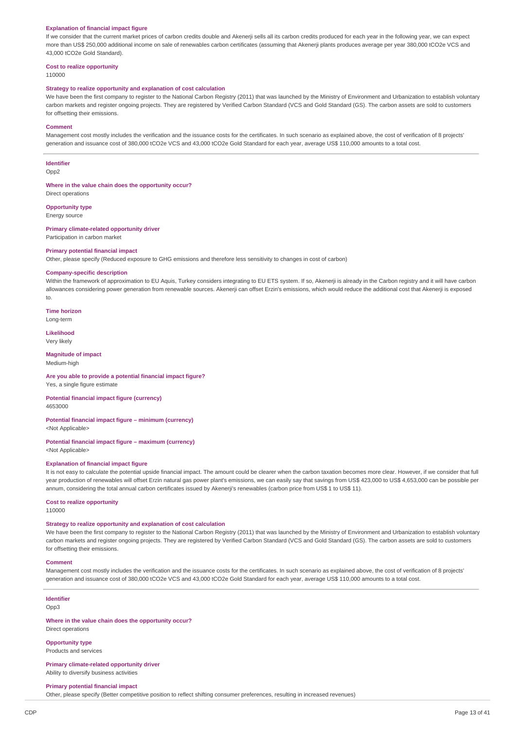#### **Explanation of financial impact figure**

If we consider that the current market prices of carbon credits double and Akenerji sells all its carbon credits produced for each year in the following year, we can expect more than US\$ 250,000 additional income on sale of renewables carbon certificates (assuming that Akenerji plants produces average per year 380,000 tCO2e VCS and 43,000 tCO2e Gold Standard).

#### **Cost to realize opportunity**

110000

#### **Strategy to realize opportunity and explanation of cost calculation**

We have been the first company to register to the National Carbon Registry (2011) that was launched by the Ministry of Environment and Urbanization to establish voluntary carbon markets and register ongoing projects. They are registered by Verified Carbon Standard (VCS and Gold Standard (GS). The carbon assets are sold to customers for offsetting their emissions.

#### **Comment**

Management cost mostly includes the verification and the issuance costs for the certificates. In such scenario as explained above, the cost of verification of 8 projects' generation and issuance cost of 380,000 tCO2e VCS and 43,000 tCO2e Gold Standard for each year, average US\$ 110,000 amounts to a total cost.

### **Identifier**

Opp2

**Where in the value chain does the opportunity occur?** Direct operations

#### **Opportunity type**

Energy source

#### **Primary climate-related opportunity driver**

Participation in carbon market

#### **Primary potential financial impact**

Other, please specify (Reduced exposure to GHG emissions and therefore less sensitivity to changes in cost of carbon)

#### **Company-specific description**

Within the framework of approximation to EU Aquis, Turkey considers integrating to EU ETS system. If so, Akenerji is already in the Carbon registry and it will have carbon allowances considering power generation from renewable sources. Akenerji can offset Erzin's emissions, which would reduce the additional cost that Akenerji is exposed to.

**Time horizon**

Long-term

### **Likelihood** Very likely

**Magnitude of impact** Medium-high

# **Are you able to provide a potential financial impact figure?**

Yes, a single figure estimate

#### **Potential financial impact figure (currency)** 4653000

#### **Potential financial impact figure – minimum (currency)** <Not Applicable>

# **Potential financial impact figure – maximum (currency)**

<Not Applicable>

#### **Explanation of financial impact figure**

It is not easy to calculate the potential upside financial impact. The amount could be clearer when the carbon taxation becomes more clear. However, if we consider that full year production of renewables will offset Erzin natural gas power plant's emissions, we can easily say that savings from US\$ 423,000 to US\$ 4,653,000 can be possible per annum, considering the total annual carbon certificates issued by Akenerji's renewables (carbon price from US\$ 1 to US\$ 11).

#### **Cost to realize opportunity**

110000

#### **Strategy to realize opportunity and explanation of cost calculation**

We have been the first company to register to the National Carbon Registry (2011) that was launched by the Ministry of Environment and Urbanization to establish voluntary carbon markets and register ongoing projects. They are registered by Verified Carbon Standard (VCS and Gold Standard (GS). The carbon assets are sold to customers for offsetting their emissions.

#### **Comment**

Management cost mostly includes the verification and the issuance costs for the certificates. In such scenario as explained above, the cost of verification of 8 projects' generation and issuance cost of 380,000 tCO2e VCS and 43,000 tCO2e Gold Standard for each year, average US\$ 110,000 amounts to a total cost.

#### **Identifier**

Opp3

#### **Where in the value chain does the opportunity occur?** Direct operations

**Opportunity type**

#### Products and services

**Primary climate-related opportunity driver** Ability to diversify business activities

#### **Primary potential financial impact**

Other, please specify (Better competitive position to reflect shifting consumer preferences, resulting in increased revenues)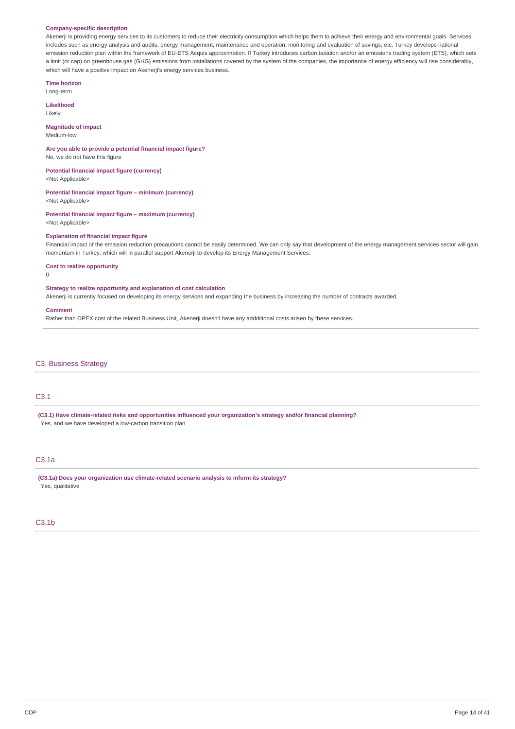#### **Company-specific description**

Akenerji is providing energy services to its customers to reduce their electricity consumption which helps them to achieve their energy and environmental goals. Services includes such as energy analysis and audits, energy management, maintenance and operation, monitoring and evaluation of savings, etc. Turkey develops national emission reduction plan within the framework of EU-ETS Acquis approximation. If Turkey introduces carbon taxation and/or an emissions trading system (ETS), which sets a limit (or cap) on greenhouse gas (GHG) emissions from installations covered by the system of the companies, the importance of energy efficiency will rise considerably, which will have a positive impact on Akenerji's energy services business.

#### **Time horizon**

Long-term

**Likelihood** Likely

## **Magnitude of impact**

Medium-low

**Are you able to provide a potential financial impact figure?** No, we do not have this figure

### **Potential financial impact figure (currency)** <Not Applicable>

**Potential financial impact figure – minimum (currency)**

<Not Applicable>

### **Potential financial impact figure – maximum (currency)** <Not Applicable>

#### **Explanation of financial impact figure**

Financial impact of the emission reduction precautions cannot be easily determined. We can only say that development of the energy management services sector will gain momentum in Turkey, which will in parallel support Akenerji to develop its Energy Management Services.

### **Cost to realize opportunity**

 $\theta$ 

### **Strategy to realize opportunity and explanation of cost calculation**

Akenerji is currently focused on developing its energy services and expanding the business by increasing the number of contracts awarded.

#### **Comment**

Rather than OPEX cost of the related Business Unit, Akenerji doesn't have any addditional costs arisen by these services.

# C3. Business Strategy

# C3.1

**(C3.1) Have climate-related risks and opportunities influenced your organization's strategy and/or financial planning?** Yes, and we have developed a low-carbon transition plan

# C3.1a

**(C3.1a) Does your organization use climate-related scenario analysis to inform its strategy?** Yes, qualitative

### C3.1b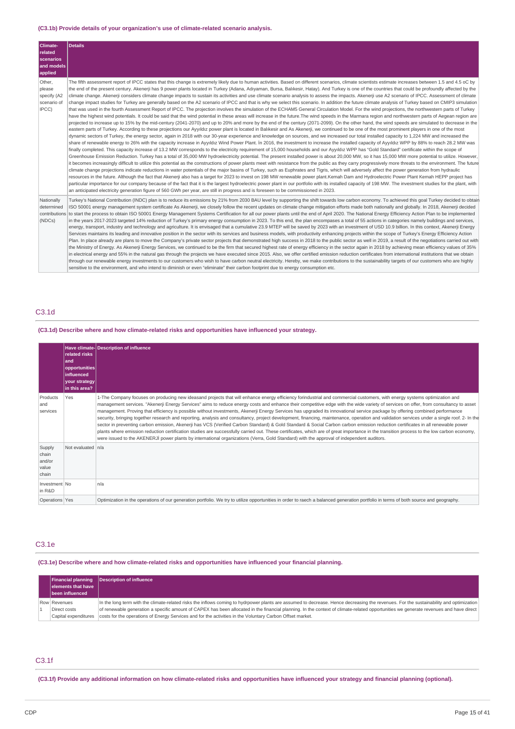### **(C3.1b) Provide details of your organization's use of climate-related scenario analysis.**

| Climate-<br><b>related</b><br>scenarios<br>and models<br>applied | <b>Details</b>                                                                                                                                                                                                                                                                                                                                                                                                                                                                                                                                                                                                                                                                                                                                                                                                                                                                                                                                                                                                                                                                                                                                                                                                                                                                                                                                                                                                                                                                                                                                                                                                                                                                                                                                                                                                                                                                                                                                                                                                                                                                                                                                                                                                                                                                                                                                                                                                                                                                                                                                                                                                                                                                                                                                                                                                                                                                                                                                                                                                                                                                                                                                                                                                                                                                                                                                                                                                                                    |
|------------------------------------------------------------------|---------------------------------------------------------------------------------------------------------------------------------------------------------------------------------------------------------------------------------------------------------------------------------------------------------------------------------------------------------------------------------------------------------------------------------------------------------------------------------------------------------------------------------------------------------------------------------------------------------------------------------------------------------------------------------------------------------------------------------------------------------------------------------------------------------------------------------------------------------------------------------------------------------------------------------------------------------------------------------------------------------------------------------------------------------------------------------------------------------------------------------------------------------------------------------------------------------------------------------------------------------------------------------------------------------------------------------------------------------------------------------------------------------------------------------------------------------------------------------------------------------------------------------------------------------------------------------------------------------------------------------------------------------------------------------------------------------------------------------------------------------------------------------------------------------------------------------------------------------------------------------------------------------------------------------------------------------------------------------------------------------------------------------------------------------------------------------------------------------------------------------------------------------------------------------------------------------------------------------------------------------------------------------------------------------------------------------------------------------------------------------------------------------------------------------------------------------------------------------------------------------------------------------------------------------------------------------------------------------------------------------------------------------------------------------------------------------------------------------------------------------------------------------------------------------------------------------------------------------------------------------------------------------------------------------------------------------------------------------------------------------------------------------------------------------------------------------------------------------------------------------------------------------------------------------------------------------------------------------------------------------------------------------------------------------------------------------------------------------------------------------------------------------------------------------------------------|
| Other,<br>please<br>specify (A2<br>scenario of<br>IPCC)          | The fifth assessment report of IPCC states that this change is extremely likely due to human activities. Based on different scenarios, climate scientists estimate increases between 1.5 and 4.5 oC by<br>the end of the present century. Akenerji has 9 power plants located in Turkey (Adana, Adıyaman, Bursa, Balıkesir, Hatay). And Turkey is one of the countries that could be profoundly affected by the<br>climate change. Akenerji considers climate change impacts to sustain its activities and use climate scenario analysis to assess the impacts. Akenerji use A2 scenario of IPCC. Assessment of climate<br>change impact studies for Turkey are generally based on the A2 scenario of IPCC and that is why we select this scenario. In addition the future climate analysis of Turkey based on CMIP3 simulation<br>that was used in the fourth Assessment Report of IPCC. The projection involves the simulation of the ECHAM5 General Circulation Model. For the wind projections, the northwestern parts of Turkey<br>have the highest wind potentials. It could be said that the wind potential in these areas will increase in the future. The wind speeds in the Marmara region and northwestern parts of Aegean region are<br>projected to increase up to 15% by the mid-century (2041-2070) and up to 20% and more by the end of the century (2071-2099). On the other hand, the wind speeds are simulated to decrease in the<br>eastern parts of Turkey. According to these projections our Ayyıldız power plant is located in Balıkesir and As Akenerji, we continued to be one of the most prominent players in one of the most<br>dynamic sectors of Turkey, the energy sector, again in 2018 with our 30-year experience and knowledge on sources, and we increased our total installed capacity to 1,224 MW and increased the<br>share of renewable energy to 26% with the capacity increase in Ayyıldız Wind Power Plant. In 2016, the investment to increase the installed capacity of Ayyıldız WPP by 88% to reach 28.2 MW was<br>finally completed. This capacity increase of 13.2 MW corresponds to the electricity requirement of 15.000 households and our Ayyıldız WPP has "Gold Standard" certificate within the scope of<br>Greenhouse Emission Reduction. Turkey has a total of 35,000 MW hydroelectricity potential. The present installed power is about 20,000 MW, so it has 15,000 MW more potential to utilize. However,<br>it becomes increasingly difficult to utilize this potential as the constructions of power plants meet with resistance from the public as they carry progressively more threats to the environment. The future<br>climate change projections indicate reductions in water potentials of the major basins of Turkey, such as Euphrates and Tigris, which will adversely affect the power generation from hydraulic<br>resources in the future. Although the fact that Akenerji also has a target for 2023 to invest on 198 MW renewable power plant.Kemah Dam and Hydroelectric Power Plant Kemah HEPP project has<br>particular importance for our company because of the fact that it is the largest hydroelectric power plant in our portfolio with its installed capacity of 198 MW. The investment studies for the plant, with<br>an anticipated electricity generation figure of 560 GWh per year, are still in progress and is foreseen to be commissioned in 2023. |
| Nationally<br>determined<br>contributions<br>(NDCs)              | Turkey's National Contribution (INDC) plan is to reduce its emissions by 21% from 2030 BAU level by supporting the shift towards low carbon economy. To achieved this goal Turkey decided to obtain<br>ISO 50001 energy management system certificate As Akenerji, we closely follow the recent updates on climate change mitigation efforts made both nationally and globally. In 2018, Akenerji decided<br>to start the process to obtain ISO 50001 Energy Management Systems Certification for all our power plants until the end of April 2020. The National Energy Efficiency Action Plan to be implemented<br>in the years 2017-2023 targeted 14% reduction of Turkey's primary energy consumption in 2023. To this end, the plan encompases a total of 55 actions in categories namely buildings and services,<br>energy, transport, industry and technology and agriculture. It is envisaged that a cumulative 23.9 MTEP will be saved by 2023 with an investment of USD 10.9 billion. In this context, Akenerji Energy<br>Services maintains its leading and innovative position in the sector with its services and business models, with productivity enhancing projects within the scope of Turkey's Energy Efficiency Action<br>Plan. In place already are plans to move the Company's private sector projects that demonstrated high success in 2018 to the public sector as well in 2019, a result of the negotiations carried out with<br>the Ministry of Energy. As Akenerji Energy Services, we continued to be the firm that secured highest rate of energy efficiency in the sector again in 2018 by achieving mean efficiency values of 35%<br>in electrical energy and 55% in the natural gas through the projects we have executed since 2015. Also, we offer certified emission reduction certificates from international institutions that we obtain<br>through our renewable energy investments to our customers who wish to have carbon neutral electricity. Hereby, we make contributions to the sustainability targets of our customers who are highly<br>sensitive to the environment, and who intend to diminish or even "eliminate" their carbon footprint due to energy consumption etc.                                                                                                                                                                                                                                                                                                                                                                                                                                                                                                                                                                                                                                                                                                                                                                                                                                                                                                                                                                                                                                                                                                                                                                                                                         |

# C3.1d

**(C3.1d) Describe where and how climate-related risks and opportunities have influenced your strategy.**

|                                             | related risks<br>and<br>opportunities<br>influenced<br>your strategy<br>in this area? | Have climate-Description of influence                                                                                                                                                                                                                                                                                                                                                                                                                                                                                                                                                                                                                                                                                                                                                                                                                                                                                                                                                                                                                                                                                                                                                                                                                                          |
|---------------------------------------------|---------------------------------------------------------------------------------------|--------------------------------------------------------------------------------------------------------------------------------------------------------------------------------------------------------------------------------------------------------------------------------------------------------------------------------------------------------------------------------------------------------------------------------------------------------------------------------------------------------------------------------------------------------------------------------------------------------------------------------------------------------------------------------------------------------------------------------------------------------------------------------------------------------------------------------------------------------------------------------------------------------------------------------------------------------------------------------------------------------------------------------------------------------------------------------------------------------------------------------------------------------------------------------------------------------------------------------------------------------------------------------|
| Products<br>and<br>services                 | Yes                                                                                   | 1-The Company focuses on producing new ideasand projects that will enhance energy efficiency forindustrial and commercial customers, with energy systems optimization and<br>management services. "Akenerji Energy Services" aims to reduce energy costs and enhance their competitive edge with the wide variety of services on offer, from consultancy to asset<br>management. Proving that efficiency is possible without investments, Akenerji Energy Services has upgraded its innovational service package by offering combined performance<br>security, bringing together research and reporting, analysis and consultancy, project development, financing, maintenance, operation and validation services under a single roof. 2- In the<br>sector in preventing carbon emission, Akenerji has VCS (Verified Carbon Standard) & Gold Standard & Social Carbon carbon emission reduction certificates in all renewable power<br>plants where emission reduction certification studies are successfully carried out. These certificates, which are of great importance in the transition process to the low carbon economy,<br>were issued to the AKENERJI power plants by international organizations (Verra, Gold Standard) with the approval of independent auditors. |
| Supply<br>chain<br>and/or<br>value<br>chain | Not evaluated   n/a                                                                   |                                                                                                                                                                                                                                                                                                                                                                                                                                                                                                                                                                                                                                                                                                                                                                                                                                                                                                                                                                                                                                                                                                                                                                                                                                                                                |
| Investment No<br>in R&D                     |                                                                                       | n/a                                                                                                                                                                                                                                                                                                                                                                                                                                                                                                                                                                                                                                                                                                                                                                                                                                                                                                                                                                                                                                                                                                                                                                                                                                                                            |
| Operations Yes                              |                                                                                       | Optimization in the operations of our generation portfolio. We try to utilize opportunities in order to raech a balanced generation portfolio in terms of both source and geography.                                                                                                                                                                                                                                                                                                                                                                                                                                                                                                                                                                                                                                                                                                                                                                                                                                                                                                                                                                                                                                                                                           |

# C3.1e

**(C3.1e) Describe where and how climate-related risks and opportunities have influenced your financial planning.**

| <b>Financial planning</b><br>elements that have<br>been influenced | Description of influence                                                                                                                                                                                                                                                                                                                                                        |
|--------------------------------------------------------------------|---------------------------------------------------------------------------------------------------------------------------------------------------------------------------------------------------------------------------------------------------------------------------------------------------------------------------------------------------------------------------------|
| Row Revenues<br>Direct costs                                       | In the long term with the climate-related risks the inflows coming to hydrpower plants are assumed to decrease. Hence decreasing the revenues. For the sustainability and optimization<br>of renewable generation a specific amount of CAPEX has been allocated in the financial planning. In the context of climate-related opportunities we generate revenues and have direct |
|                                                                    | Capital expenditures costs for the operations of Energy Services and for the activities in the Voluntary Carbon Offset market.                                                                                                                                                                                                                                                  |

# C3.1f

(C3.1f) Provide any additional information on how climate-related risks and opportunities have influenced your strategy and financial planning (optional).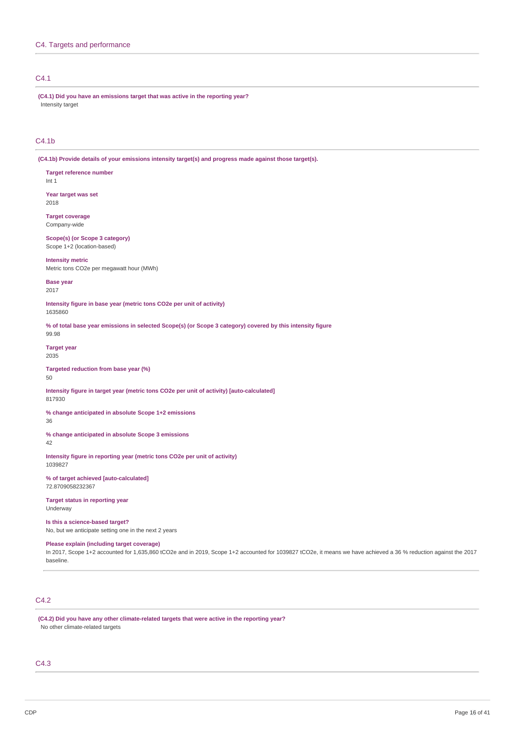### C4.1

**(C4.1) Did you have an emissions target that was active in the reporting year?** Intensity target

### C4.1b

**(C4.1b) Provide details of your emissions intensity target(s) and progress made against those target(s).**

**Target reference number** Int 1

**Year target was set** 2018

**Target coverage** Company-wide

**Scope(s) (or Scope 3 category)** Scope 1+2 (location-based)

**Intensity metric**

Metric tons CO2e per megawatt hour (MWh)

**Base year** 2017

**Intensity figure in base year (metric tons CO2e per unit of activity)** 1635860

% of total base year emissions in selected Scope(s) (or Scope 3 category) covered by this intensity figure 99.98

**Target year** 2035

**Targeted reduction from base year (%)** 50

**Intensity figure in target year (metric tons CO2e per unit of activity) [auto-calculated]** 817930

**% change anticipated in absolute Scope 1+2 emissions**

36

**% change anticipated in absolute Scope 3 emissions**

42

**Intensity figure in reporting year (metric tons CO2e per unit of activity)** 1039827

**% of target achieved [auto-calculated]** 72.8709058232367

**Target status in reporting year** Underway

**Is this a science-based target?** No, but we anticipate setting one in the next 2 years

**Please explain (including target coverage)**

In 2017, Scope 1+2 accounted for 1,635,860 tCO2e and in 2019, Scope 1+2 accounted for 1039827 tCO2e, it means we have achieved a 36 % reduction against the 2017 baseline.

# C4.2

**(C4.2) Did you have any other climate-related targets that were active in the reporting year?** No other climate-related targets

### C4.3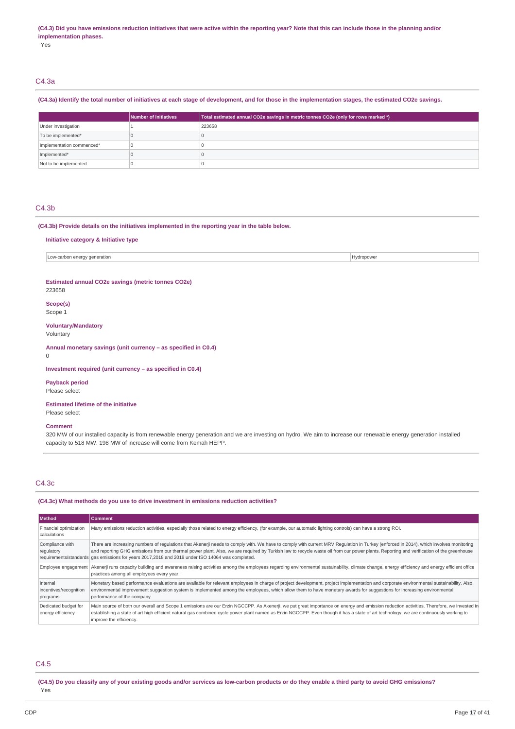#### (C4.3) Did you have emissions reduction initiatives that were active within the reporting year? Note that this can include those in the planning and/or **implementation phases.**

Yes

# C4.3a

### (C4.3a) Identify the total number of initiatives at each stage of development, and for those in the implementation stages, the estimated CO2e savings.

|                           | Number of initiatives | Total estimated annual CO2e savings in metric tonnes CO2e (only for rows marked $*)$ |
|---------------------------|-----------------------|--------------------------------------------------------------------------------------|
| Under investigation       |                       | 223658                                                                               |
| To be implemented*        |                       |                                                                                      |
| Implementation commenced* |                       |                                                                                      |
| Implemented*              |                       |                                                                                      |
| Not to be implemented     |                       |                                                                                      |

### C4.3b

**(C4.3b) Provide details on the initiatives implemented in the reporting year in the table below.**

**Initiative category & Initiative type**

Low-carbon energy generation **Hydropower** 

**Estimated annual CO2e savings (metric tonnes CO2e)**

#### 223658

**Scope(s)** Scope 1

**Voluntary/Mandatory**

Voluntary

**Annual monetary savings (unit currency – as specified in C0.4)**

0

**Investment required (unit currency – as specified in C0.4)**

**Payback period** Please select

**Estimated lifetime of the initiative**

Please select

#### **Comment**

320 MW of our installed capacity is from renewable energy generation and we are investing on hydro. We aim to increase our renewable energy generation installed capacity to 518 MW. 198 MW of increase will come from Kemah HEPP.

### C4.3c

#### **(C4.3c) What methods do you use to drive investment in emissions reduction activities?**

| <b>Method</b>                                  | Comment                                                                                                                                                                                                                                                                                                                                                                                                                                                                               |
|------------------------------------------------|---------------------------------------------------------------------------------------------------------------------------------------------------------------------------------------------------------------------------------------------------------------------------------------------------------------------------------------------------------------------------------------------------------------------------------------------------------------------------------------|
| Financial optimization<br>calculations         | Many emissions reduction activities, especially those related to energy efficiency, (for example, our automatic lighting controls) can have a strong ROI.                                                                                                                                                                                                                                                                                                                             |
| Compliance with<br>regulatory                  | There are increasing numbers of regulations that Akenerji needs to comply with. We have to comply with current MRV Regulation in Turkey (enforced in 2014), which involves monitoring<br>and reporting GHG emissions from our thermal power plant. Also, we are required by Turkish law to recycle waste oil from our power plants. Reporting and verification of the greenhouse<br>requirements/standards gas emissions for years 2017, 2018 and 2019 under ISO 14064 was completed. |
|                                                | Employee engagement   Akenerji runs capacity building and awareness raising activities among the employees regarding environmental sustainability, climate change, energy efficiency and energy efficient office<br>practices among all employees every year.                                                                                                                                                                                                                         |
| Internal<br>incentives/recognition<br>programs | Monetary based performance evaluations are available for relevant employees in charge of project development, project implementation and corporate environmental sustainability. Also,<br>environmental improvement suggestion system is implemented among the employees, which allow them to have monetary awards for suggestions for increasing environmental<br>performance of the company.                                                                                        |
| Dedicated budget for<br>energy efficiency      | Main source of both our overall and Scope 1 emissions are our Erzin NGCCPP. As Akenerji, we put great importance on energy and emission reduction activities. Therefore, we invested in<br>establishing a state of art high efficient natural gas combined cycle power plant named as Erzin NGCCPP. Even though it has a state of art technology, we are continuously working to<br>improve the efficiency.                                                                           |

### C4.5

(C4.5) Do you classify any of your existing goods and/or services as low-carbon products or do they enable a third party to avoid GHG emissions? Yes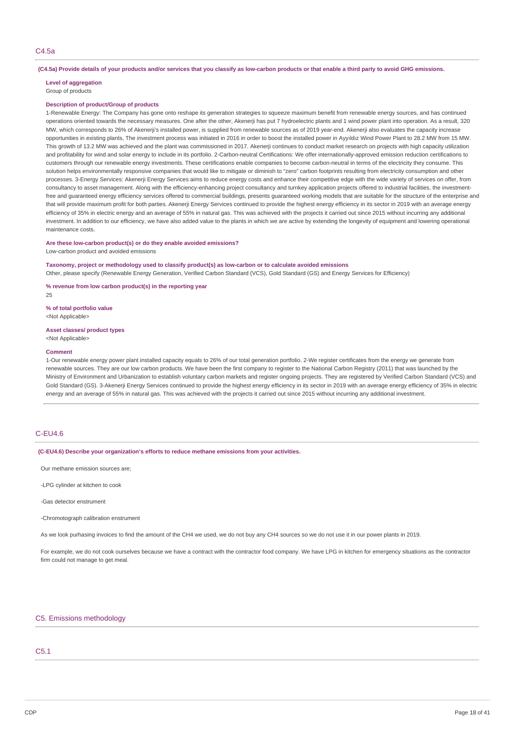#### (C4.5a) Provide details of your products and/or services that you classify as low-carbon products or that enable a third party to avoid GHG emissions.

### **Level of aggregation**

Group of products

#### **Description of product/Group of products**

1-Renewable Energy: The Company has gone onto reshape its generation strategies to squeeze maximum benefit from renewable energy sources, and has continued operations oriented towards the necessary measures. One after the other, Akenerji has put 7 hydroelectric plants and 1 wind power plant into operation. As a result, 320 MW, which corresponds to 26% of Akenerji's installed power, is supplied from renewable sources as of 2019 year-end. Akenerji also evaluates the capacity increase opportunities in existing plants, The investment process was initiated in 2016 in order to boost the installed power in Ayyıldız Wind Power Plant to 28.2 MW from 15 MW. This growth of 13.2 MW was achieved and the plant was commissioned in 2017. Akenerii continues to conduct market research on projects with high capacity utilization and profitability for wind and solar energy to include in its portfolio. 2-Carbon-neutral Certifications: We offer internationally-approved emission reduction certifications to customers through our renewable energy investments. These certifications enable companies to become carbon-neutral in terms of the electricity they consume. This solution helps environmentally responsive companies that would like to mitigate or diminish to "zero" carbon footprints resulting from electricity consumption and other processes. 3-Energy Services: Akenerji Energy Services aims to reduce energy costs and enhance their competitive edge with the wide variety of services on offer, from consultancy to asset management. Along with the efficiency-enhancing project consultancy and turnkey application projects offered to industrial facilities, the investmentfree and guaranteed energy efficiency services offered to commercial buildings, presents guaranteed working models that are suitable for the structure of the enterprise and that will provide maximum profit for both parties. Akenerji Energy Services continued to provide the highest energy efficiency in its sector in 2019 with an average energy efficiency of 35% in electric energy and an average of 55% in natural gas. This was achieved with the projects it carried out since 2015 without incurring any additional investment. In addition to our efficiency, we have also added value to the plants in which we are active by extending the longevity of equipment and lowering operational maintenance costs.

### **Are these low-carbon product(s) or do they enable avoided emissions?**

Low-carbon product and avoided emissions

#### **Taxonomy, project or methodology used to classify product(s) as low-carbon or to calculate avoided emissions**

Other, please specify (Renewable Energy Generation, Verified Carbon Standard (VCS), Gold Standard (GS) and Energy Services for Efficiency)

#### **% revenue from low carbon product(s) in the reporting year**

 $25$ 

#### **% of total portfolio value** <Not Applicable>

#### **Asset classes/ product types**

<Not Applicable>

#### **Comment**

1-Our renewable energy power plant installed capacity equals to 26% of our total generation portfolio. 2-We register certificates from the energy we generate from renewable sources. They are our low carbon products. We have been the first company to register to the National Carbon Registry (2011) that was launched by the Ministry of Environment and Urbanization to establish voluntary carbon markets and register ongoing projects. They are registered by Verified Carbon Standard (VCS) and Gold Standard (GS). 3-Akenerji Energy Services continued to provide the highest energy efficiency in its sector in 2019 with an average energy efficiency of 35% in electric energy and an average of 55% in natural gas. This was achieved with the projects it carried out since 2015 without incurring any additional investment.

# C-EU4.6

**(C-EU4.6) Describe your organization's efforts to reduce methane emissions from your activities.**

Our methane emission sources are;

-LPG cylinder at kitchen to cook

-Gas detector enstrument

-Chromotograph calibration enstrument

As we look purhasing invoices to find the amount of the CH4 we used, we do not buy any CH4 sources so we do not use it in our power plants in 2019.

For example, we do not cook ourselves because we have a contract with the contractor food company. We have LPG in kitchen for emergency situations as the contractor firm could not manage to get meal.

### C5. Emissions methodology

# C5.1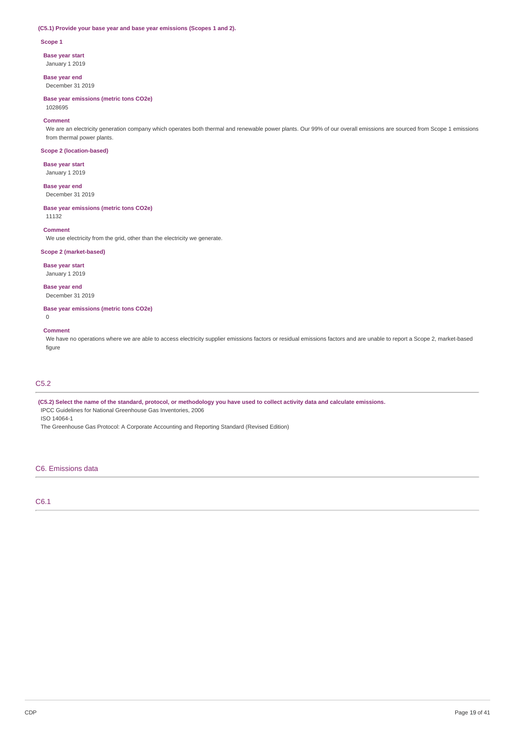### **(C5.1) Provide your base year and base year emissions (Scopes 1 and 2).**

#### **Scope 1**

**Base year start**

January 1 2019

**Base year end** December 31 2019

**Base year emissions (metric tons CO2e)** 1028695

#### **Comment**

We are an electricity generation company which operates both thermal and renewable power plants. Our 99% of our overall emissions are sourced from Scope 1 emissions from thermal power plants.

### **Scope 2 (location-based)**

**Base year start** January 1 2019

**Base year end** December 31 2019

### **Base year emissions (metric tons CO2e)**

11132

#### **Comment**

We use electricity from the grid, other than the electricity we generate.

### **Scope 2 (market-based)**

**Base year start**

January 1 2019

**Base year end** December 31 2019

**Base year emissions (metric tons CO2e)**  $\Omega$ 

### **Comment**

We have no operations where we are able to access electricity supplier emissions factors or residual emissions factors and are unable to report a Scope 2, market-based figure

# C5.2

(C5.2) Select the name of the standard, protocol, or methodology you have used to collect activity data and calculate emissions. IPCC Guidelines for National Greenhouse Gas Inventories, 2006 ISO 14064-1

The Greenhouse Gas Protocol: A Corporate Accounting and Reporting Standard (Revised Edition)

### C6. Emissions data

### C6.1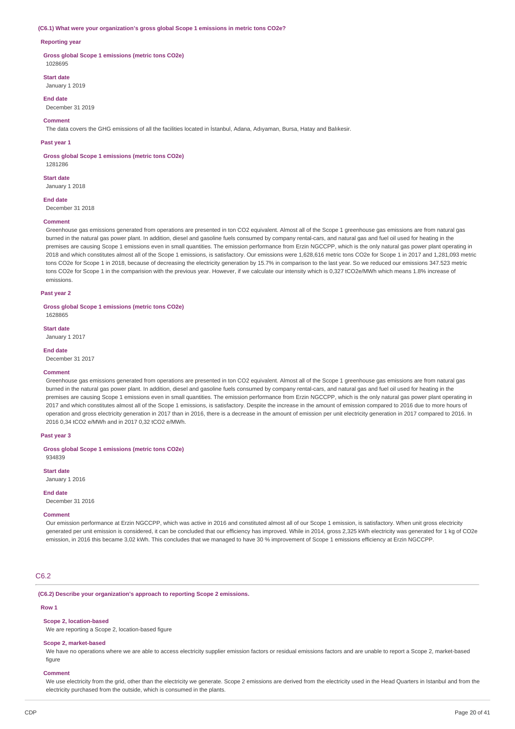#### **(C6.1) What were your organization's gross global Scope 1 emissions in metric tons CO2e?**

#### **Reporting year**

**Gross global Scope 1 emissions (metric tons CO2e)** 1028695

#### **Start date**

January 1 2019

### **End date**

December 31 2019

### **Comment**

The data covers the GHG emissions of all the facilities located in İstanbul, Adana, Adıyaman, Bursa, Hatay and Balıkesir.

#### **Past year 1**

**Gross global Scope 1 emissions (metric tons CO2e)**

1281286 **Start date**

January 1 2018

**End date**

December 31 2018

### **Comment**

Greenhouse gas emissions generated from operations are presented in ton CO2 equivalent. Almost all of the Scope 1 greenhouse gas emissions are from natural gas burned in the natural gas power plant. In addition, diesel and gasoline fuels consumed by company rental-cars, and natural gas and fuel oil used for heating in the premises are causing Scope 1 emissions even in small quantities. The emission performance from Erzin NGCCPP, which is the only natural gas power plant operating in 2018 and which constitutes almost all of the Scope 1 emissions, is satisfactory. Our emissions were 1,628,616 metric tons CO2e for Scope 1 in 2017 and 1,281,093 metric tons CO2e for Scope 1 in 2018, because of decreasing the electricity generation by 15.7% in comparison to the last year. So we reduced our emissions 347.523 metric tons CO2e for Scope 1 in the comparision with the previous year. However, if we calculate our intensity which is 0,327 tCO2e/MWh which means 1.8% increase of emissions.

#### **Past year 2**

**Gross global Scope 1 emissions (metric tons CO2e)**

1628865 **Start date**

January 1 2017

#### **End date**

December 31 2017

### **Comment**

Greenhouse gas emissions generated from operations are presented in ton CO2 equivalent. Almost all of the Scope 1 greenhouse gas emissions are from natural gas burned in the natural gas power plant. In addition, diesel and gasoline fuels consumed by company rental-cars, and natural gas and fuel oil used for heating in the premises are causing Scope 1 emissions even in small quantities. The emission performance from Erzin NGCCPP, which is the only natural gas power plant operating in 2017 and which constitutes almost all of the Scope 1 emissions, is satisfactory. Despite the increase in the amount of emission compared to 2016 due to more hours of operation and gross electricity generation in 2017 than in 2016, there is a decrease in the amount of emission per unit electricity generation in 2017 compared to 2016. In 2016 0,34 tCO2 e/MWh and in 2017 0,32 tCO2 e/MWh.

### **Past year 3**

**Gross global Scope 1 emissions (metric tons CO2e)** 934839

**Start date**

January 1 2016

**End date**

December 31 2016

#### **Comment**

Our emission performance at Erzin NGCCPP, which was active in 2016 and constituted almost all of our Scope 1 emission, is satisfactory. When unit gross electricity generated per unit emission is considered, it can be concluded that our efficiency has improved. While in 2014, gross 2,325 kWh electricity was generated for 1 kg of CO2e emission, in 2016 this became 3,02 kWh. This concludes that we managed to have 30 % improvement of Scope 1 emissions efficiency at Erzin NGCCPP.

### C6.2

#### **(C6.2) Describe your organization's approach to reporting Scope 2 emissions.**

#### **Row 1**

#### **Scope 2, location-based**

We are reporting a Scope 2, location-based figure

### **Scope 2, market-based**

We have no operations where we are able to access electricity supplier emission factors or residual emissions factors and are unable to report a Scope 2, market-based figure

#### **Comment**

We use electricity from the grid, other than the electricity we generate. Scope 2 emissions are derived from the electricity used in the Head Quarters in Istanbul and from the electricity purchased from the outside, which is consumed in the plants.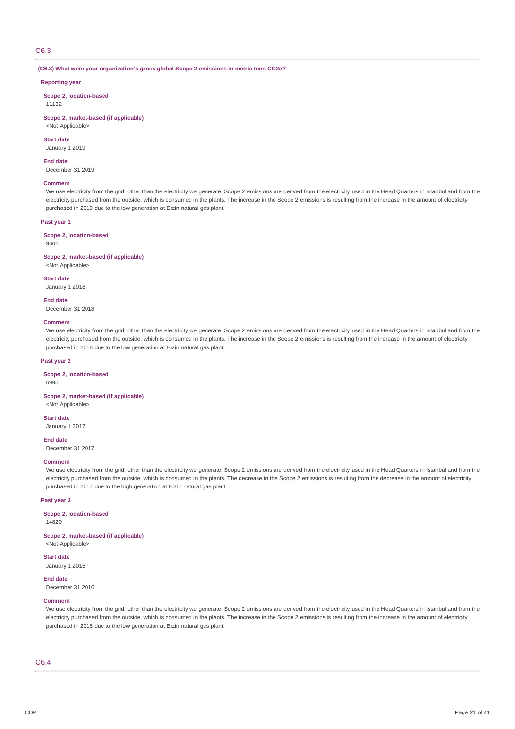### C6.3

**(C6.3) What were your organization's gross global Scope 2 emissions in metric tons CO2e?**

### **Reporting year**

**Scope 2, location-based** 11132

### **Scope 2, market-based (if applicable)**

<Not Applicable>

### **Start date**

January 1 2019

#### **End date**

December 31 2019

### **Comment**

We use electricity from the grid, other than the electricity we generate. Scope 2 emissions are derived from the electricity used in the Head Quarters in Istanbul and from the electricity purchased from the outside, which is consumed in the plants. The increase in the Scope 2 emissions is resulting from the increase in the amount of electricity purchased in 2019 due to the low generation at Erzin natural gas plant.

### **Past year 1**

#### **Scope 2, location-based**

9662

#### **Scope 2, market-based (if applicable)**

<Not Applicable>

#### **Start date**

January 1 2018

#### **End date**

December 31 2018

#### **Comment**

We use electricity from the grid, other than the electricity we generate. Scope 2 emissions are derived from the electricity used in the Head Quarters in Istanbul and from the electricity purchased from the outside, which is consumed in the plants. The increase in the Scope 2 emissions is resulting from the increase in the amount of electricity purchased in 2018 due to the low generation at Erzin natural gas plant.

#### **Past year 2**

### **Scope 2, location-based**

6995

# **Scope 2, market-based (if applicable)**

<Not Applicable>

# **Start date**

January 1 2017

### **End date**

December 31 2017

### **Comment**

We use electricity from the grid, other than the electricity we generate. Scope 2 emissions are derived from the electricity used in the Head Quarters in Istanbul and from the electricity purchased from the outside, which is consumed in the plants. The decrease in the Scope 2 emissions is resulting from the decrease in the amount of electricity purchased in 2017 due to the high generation at Erzin natural gas plant.

#### **Past year 3**

**Scope 2, location-based**

14820

# **Scope 2, market-based (if applicable)**

<Not Applicable>

#### **Start date** January 1 2016

**End date** December 31 2016

#### **Comment**

We use electricity from the grid, other than the electricity we generate. Scope 2 emissions are derived from the electricity used in the Head Quarters in Istanbul and from the electricity purchased from the outside, which is consumed in the plants. The increase in the Scope 2 emissions is resulting from the increase in the amount of electricity purchased in 2016 due to the low generation at Erzin natural gas plant.

### C6.4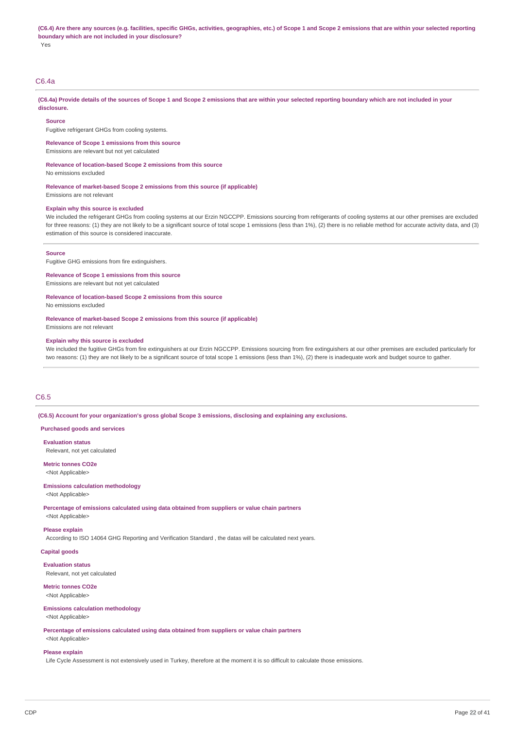(C6.4) Are there any sources (e.g. facilities, specific GHGs, activities, geographies, etc.) of Scope 1 and Scope 2 emissions that are within your selected reporting **boundary which are not included in your disclosure?** Yes

### C6.4a

(C6.4a) Provide details of the sources of Scope 1 and Scope 2 emissions that are within your selected reporting boundary which are not included in your **disclosure.**

#### **Source**

Fugitive refrigerant GHGs from cooling systems.

**Relevance of Scope 1 emissions from this source**

Emissions are relevant but not yet calculated

**Relevance of location-based Scope 2 emissions from this source**

No emissions excluded

**Relevance of market-based Scope 2 emissions from this source (if applicable)** Emissions are not relevant

#### **Explain why this source is excluded**

We included the refrigerant GHGs from cooling systems at our Erzin NGCCPP. Emissions sourcing from refrigerants of cooling systems at our other premises are excluded for three reasons: (1) they are not likely to be a significant source of total scope 1 emissions (less than 1%), (2) there is no reliable method for accurate activity data, and (3) estimation of this source is considered inaccurate.

#### **Source**

Fugitive GHG emissions from fire extinguishers.

**Relevance of Scope 1 emissions from this source** Emissions are relevant but not yet calculated

**Relevance of location-based Scope 2 emissions from this source**

No emissions excluded

**Relevance of market-based Scope 2 emissions from this source (if applicable)**

Emissions are not relevant

#### **Explain why this source is excluded**

We included the fugitive GHGs from fire extinguishers at our Erzin NGCCPP. Emissions sourcing from fire extinguishers at our other premises are excluded particularly for two reasons: (1) they are not likely to be a significant source of total scope 1 emissions (less than 1%), (2) there is inadequate work and budget source to gather.

### C6.5

**(C6.5) Account for your organization's gross global Scope 3 emissions, disclosing and explaining any exclusions.**

**Purchased goods and services**

**Evaluation status** Relevant, not yet calculated

**Metric tonnes CO2e**

### <Not Applicable>

**Emissions calculation methodology**

<Not Applicable>

**Percentage of emissions calculated using data obtained from suppliers or value chain partners**

# <Not Applicable> **Please explain**

According to ISO 14064 GHG Reporting and Verification Standard , the datas will be calculated next years.

**Capital goods**

**Evaluation status** Relevant, not yet calculated

#### **Metric tonnes CO2e**

<Not Applicable>

#### **Emissions calculation methodology** <Not Applicable>

**Percentage of emissions calculated using data obtained from suppliers or value chain partners** <Not Applicable>

#### **Please explain**

Life Cycle Assessment is not extensively used in Turkey, therefore at the moment it is so difficult to calculate those emissions.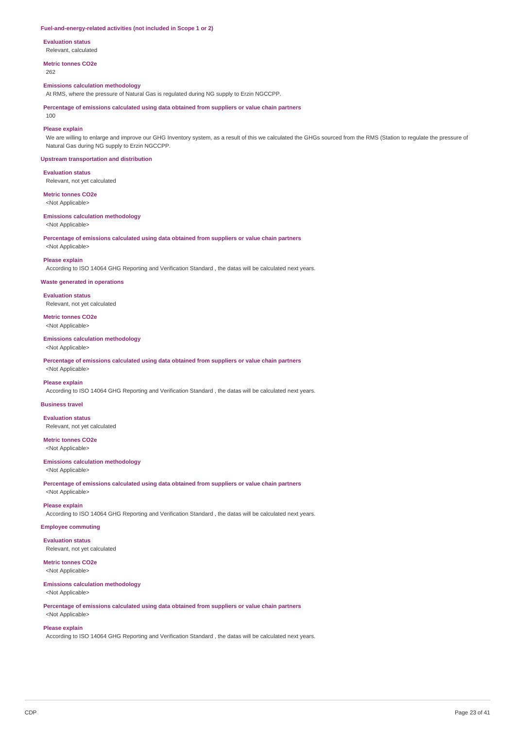#### **Fuel-and-energy-related activities (not included in Scope 1 or 2)**

**Evaluation status**

Relevant, calculated

**Metric tonnes CO2e**

262

### **Emissions calculation methodology**

At RMS, where the pressure of Natural Gas is regulated during NG supply to Erzin NGCCPP.

**Percentage of emissions calculated using data obtained from suppliers or value chain partners**

 $100$ 

### **Please explain**

We are willing to enlarge and improve our GHG Inventory system, as a result of this we calculated the GHGs sourced from the RMS (Station to regulate the pressure of Natural Gas during NG supply to Erzin NGCCPP.

#### **Upstream transportation and distribution**

**Evaluation status**

Relevant, not yet calculated

**Metric tonnes CO2e** <Not Applicable>

#### **Emissions calculation methodology** <Not Applicable>

**Percentage of emissions calculated using data obtained from suppliers or value chain partners** <Not Applicable>

#### **Please explain**

According to ISO 14064 GHG Reporting and Verification Standard , the datas will be calculated next years.

### **Waste generated in operations**

**Evaluation status** Relevant, not yet calculated

#### **Metric tonnes CO2e** <Not Applicable>

#### **Emissions calculation methodology** <Not Applicable>

**Percentage of emissions calculated using data obtained from suppliers or value chain partners** <Not Applicable>

#### **Please explain**

According to ISO 14064 GHG Reporting and Verification Standard , the datas will be calculated next years.

### **Business travel**

**Evaluation status** Relevant, not yet calculated

# **Metric tonnes CO2e**

<Not Applicable>

### **Emissions calculation methodology**

<Not Applicable>

**Percentage of emissions calculated using data obtained from suppliers or value chain partners** <Not Applicable>

#### **Please explain**

According to ISO 14064 GHG Reporting and Verification Standard , the datas will be calculated next years.

### **Employee commuting**

**Evaluation status** Relevant, not yet calculated

### **Metric tonnes CO2e**

<Not Applicable>

### **Emissions calculation methodology**

<Not Applicable>

### **Percentage of emissions calculated using data obtained from suppliers or value chain partners** <Not Applicable>

#### **Please explain**

According to ISO 14064 GHG Reporting and Verification Standard , the datas will be calculated next years.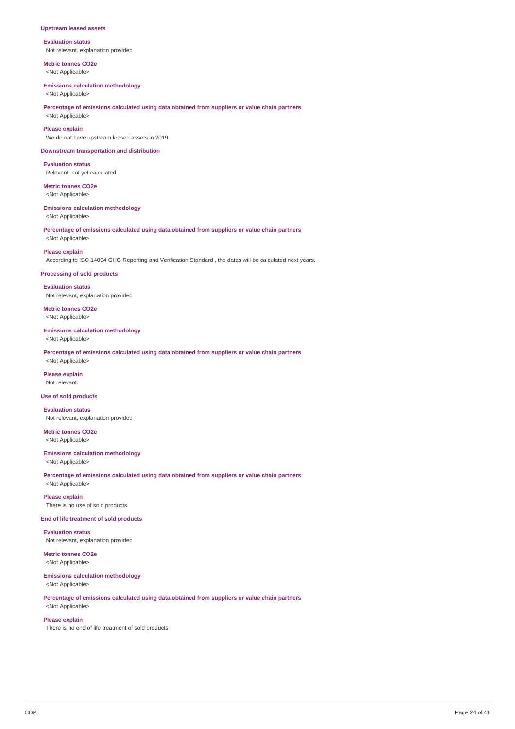#### **Upstream leased assets**

**Evaluation status** Not relevant, explanation provided

**Metric tonnes CO2e** <Not Applicable>

#### **Emissions calculation methodology**

<Not Applicable>

# **Percentage of emissions calculated using data obtained from suppliers or value chain partners**

<Not Applicable>

# **Please explain**

We do not have upstream leased assets in 2019.

### **Downstream transportation and distribution**

**Evaluation status** Relevant, not yet calculated

**Metric tonnes CO2e** <Not Applicable>

#### **Emissions calculation methodology**

<Not Applicable>

# **Percentage of emissions calculated using data obtained from suppliers or value chain partners**

<Not Applicable>

### **Please explain**

According to ISO 14064 GHG Reporting and Verification Standard , the datas will be calculated next years.

#### **Processing of sold products**

**Evaluation status** Not relevant, explanation provided

**Metric tonnes CO2e** <Not Applicable>

#### **Emissions calculation methodology**

<Not Applicable>

**Percentage of emissions calculated using data obtained from suppliers or value chain partners** <Not Applicable>

# **Please explain**

Not relevant.

### **Use of sold products**

**Evaluation status** Not relevant, explanation provided

**Metric tonnes CO2e**

<Not Applicable>

#### **Emissions calculation methodology**

<Not Applicable>

<Not Applicable>

**Percentage of emissions calculated using data obtained from suppliers or value chain partners**

**Please explain** There is no use of sold products

#### **End of life treatment of sold products**

**Evaluation status**

Not relevant, explanation provided

**Metric tonnes CO2e** <Not Applicable>

#### **Emissions calculation methodology** <Not Applicable>

**Percentage of emissions calculated using data obtained from suppliers or value chain partners**

# <Not Applicable> **Please explain**

There is no end of life treatment of sold products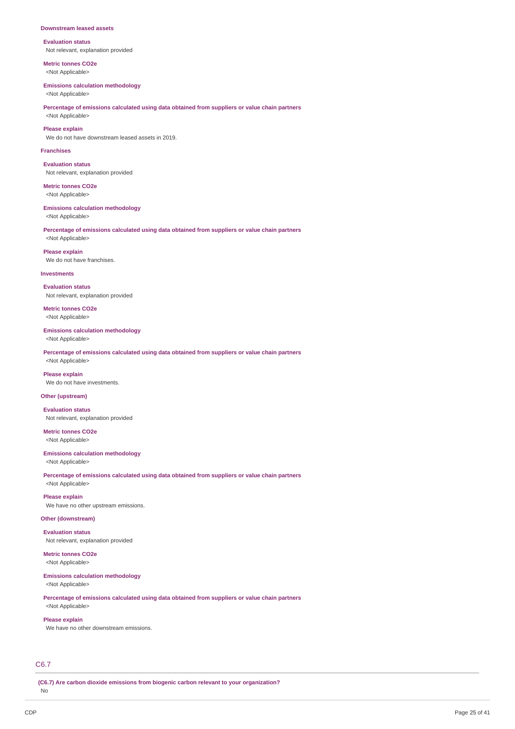#### **Downstream leased assets**

**Evaluation status** Not relevant, explanation provided

**Metric tonnes CO2e** <Not Applicable>

#### **Emissions calculation methodology**

<Not Applicable>

### **Percentage of emissions calculated using data obtained from suppliers or value chain partners** <Not Applicable>

### **Please explain**

We do not have downstream leased assets in 2019.

#### **Franchises**

**Evaluation status** Not relevant, explanation provided

**Metric tonnes CO2e** <Not Applicable>

#### **Emissions calculation methodology**

<Not Applicable>

**Percentage of emissions calculated using data obtained from suppliers or value chain partners** <Not Applicable>

**Please explain** We do not have franchises.

#### **Investments**

**Evaluation status** Not relevant, explanation provided

**Metric tonnes CO2e** <Not Applicable>

#### **Emissions calculation methodology**

<Not Applicable>

**Percentage of emissions calculated using data obtained from suppliers or value chain partners** <Not Applicable>

**Please explain** We do not have investments.

### **Other (upstream)**

**Evaluation status** Not relevant, explanation provided

**Metric tonnes CO2e** <Not Applicable>

### **Emissions calculation methodology**

<Not Applicable>

**Percentage of emissions calculated using data obtained from suppliers or value chain partners** <Not Applicable>

**Please explain** We have no other upstream emissions.

### **Other (downstream)**

**Evaluation status** Not relevant, explanation provided

**Metric tonnes CO2e** <Not Applicable>

**Emissions calculation methodology**

#### <Not Applicable>

**Percentage of emissions calculated using data obtained from suppliers or value chain partners**

# <Not Applicable> **Please explain**

We have no other downstream emissions.

## C6.7

**(C6.7) Are carbon dioxide emissions from biogenic carbon relevant to your organization?**

No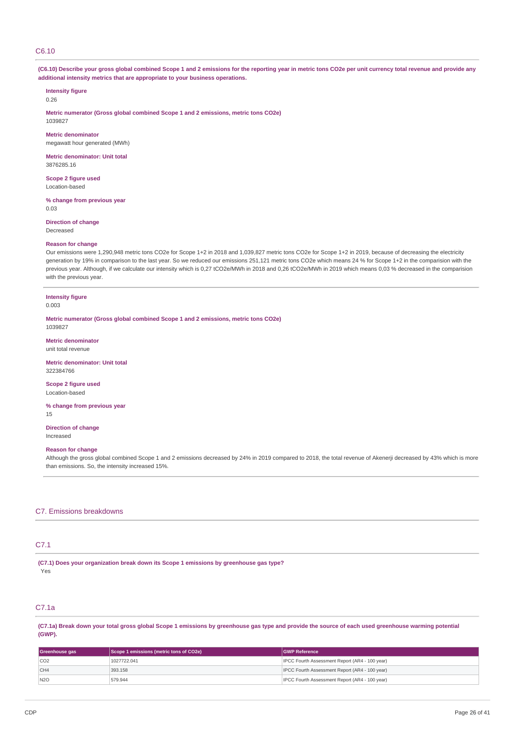# C6.10

(C6.10) Describe your gross global combined Scope 1 and 2 emissions for the reporting year in metric tons CO2e per unit currency total revenue and provide any **additional intensity metrics that are appropriate to your business operations.**

# **Intensity figure**

0.26

**Metric numerator (Gross global combined Scope 1 and 2 emissions, metric tons CO2e)** 1039827

**Metric denominator** megawatt hour generated (MWh)

**Metric denominator: Unit total** 3876285.16

**Scope 2 figure used** Location-based

**% change from previous year** 0.03

**Direction of change**

Decreased

#### **Reason for change**

Our emissions were 1,290,948 metric tons CO2e for Scope 1+2 in 2018 and 1,039,827 metric tons CO2e for Scope 1+2 in 2019, because of decreasing the electricity generation by 19% in comparison to the last year. So we reduced our emissions 251,121 metric tons CO2e which means 24 % for Scope 1+2 in the comparision with the previous year. Although, if we calculate our intensity which is 0,27 tCO2e/MWh in 2018 and 0,26 tCO2e/MWh in 2019 which means 0,03 % decreased in the comparision with the previous year.

# **Intensity figure**

0.003

**Metric numerator (Gross global combined Scope 1 and 2 emissions, metric tons CO2e)** 1039827

**Metric denominator**

unit total revenue

**Metric denominator: Unit total** 322384766

**Scope 2 figure used** Location-based

**% change from previous year**

15

**Direction of change** Increased

#### **Reason for change**

Although the gross global combined Scope 1 and 2 emissions decreased by 24% in 2019 compared to 2018, the total revenue of Akenerji decreased by 43% which is more than emissions. So, the intensity increased 15%.

#### C7. Emissions breakdowns

# C7.1

**(C7.1) Does your organization break down its Scope 1 emissions by greenhouse gas type?** Yes

# C7.1a

(C7.1a) Break down your total gross global Scope 1 emissions by greenhouse gas type and provide the source of each used greenhouse warming potential **(GWP).**

| Greenhouse gas  | Scope 1 emissions (metric tons of CO2e) | <b>IGWP Reference</b>                                 |
|-----------------|-----------------------------------------|-------------------------------------------------------|
| CO <sub>2</sub> | 1027722.041                             | <b>IPCC Fourth Assessment Report (AR4 - 100 year)</b> |
| CH4             | 393.158                                 | <b>IPCC Fourth Assessment Report (AR4 - 100 year)</b> |
| N2O             | 579.944                                 | <b>IPCC Fourth Assessment Report (AR4 - 100 year)</b> |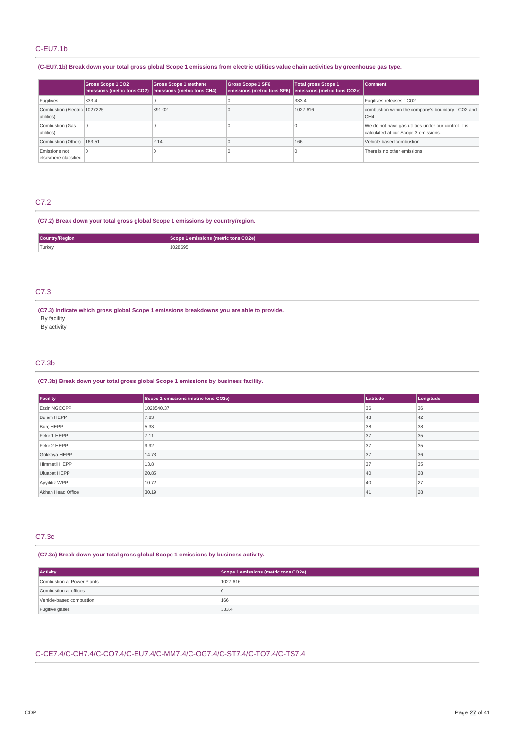# C-EU7.1b

### (C-EU7.1b) Break down your total gross global Scope 1 emissions from electric utilities value chain activities by greenhouse gas type.

|                                            | <b>Gross Scope 1 CO2</b><br>emissions (metric tons CO2) | <b>Gross Scope 1 methane</b><br>emissions (metric tons CH4) | <b>Gross Scope 1 SF6</b> | <b>Total gross Scope 1</b><br>emissions (metric tons SF6) emissions (metric tons CO2e) | <b>Comment</b>                                                                                |
|--------------------------------------------|---------------------------------------------------------|-------------------------------------------------------------|--------------------------|----------------------------------------------------------------------------------------|-----------------------------------------------------------------------------------------------|
| Fugitives                                  | 333.4                                                   |                                                             |                          | 333.4                                                                                  | Fugitives releases : CO2                                                                      |
| Combustion (Electric 1027225<br>utilities) |                                                         | 391.02                                                      |                          | 1027.616                                                                               | combustion within the company's boundary: CO2 and<br>CH <sub>4</sub>                          |
| Combustion (Gas<br>utilities)              |                                                         |                                                             |                          |                                                                                        | We do not have gas utilities under our control. It is<br>calculated at our Scope 3 emissions. |
| Combustion (Other)   163.51                |                                                         | 2.14                                                        |                          | 166                                                                                    | Vehicle-based combustion                                                                      |
| Emissions not<br>elsewhere classified      | l O                                                     |                                                             |                          |                                                                                        | There is no other emissions                                                                   |

### C7.2

### **(C7.2) Break down your total gross global Scope 1 emissions by country/region.**

| Country/Region | emissions (metric tons CO2e) |
|----------------|------------------------------|
| Turkey         | 1028695                      |
|                |                              |

# C7.3

**(C7.3) Indicate which gross global Scope 1 emissions breakdowns you are able to provide.**

By facility By activity

## C7.3b

### **(C7.3b) Break down your total gross global Scope 1 emissions by business facility.**

| Facility            | Scope 1 emissions (metric tons CO2e) | Latitude | Longitude |
|---------------------|--------------------------------------|----------|-----------|
| Erzin NGCCPP        | 1028540.37                           | 36       | 36        |
| Bulam HEPP          | 7.83                                 | 43       | 42        |
| Burç HEPP           | 5.33                                 | 38       | 38        |
| Feke 1 HEPP         | 7.11                                 | 37       | 35        |
| Feke 2 HEPP         | 9.92                                 | 37       | 35        |
| Gökkaya HEPP        | 14.73                                | 37       | 36        |
| Himmetli HEPP       | 13.8                                 | 37       | 35        |
| <b>Uluabat HEPP</b> | 20.85                                | 40       | 28        |
| Ayyıldız WPP        | 10.72                                | 40       | 27        |
| Akhan Head Office   | 30.19                                | 41       | 28        |

# C7.3c

## **(C7.3c) Break down your total gross global Scope 1 emissions by business activity.**

| <b>Activity</b>            | Scope 1 emissions (metric tons CO2e) |
|----------------------------|--------------------------------------|
| Combustion at Power Plants | 1027.616                             |
| Combustion at offices      |                                      |
| Vehicle-based combustion   | 166                                  |
| Fugitive gases             | 333.4                                |

# C-CE7.4/C-CH7.4/C-CO7.4/C-EU7.4/C-MM7.4/C-OG7.4/C-ST7.4/C-TO7.4/C-TS7.4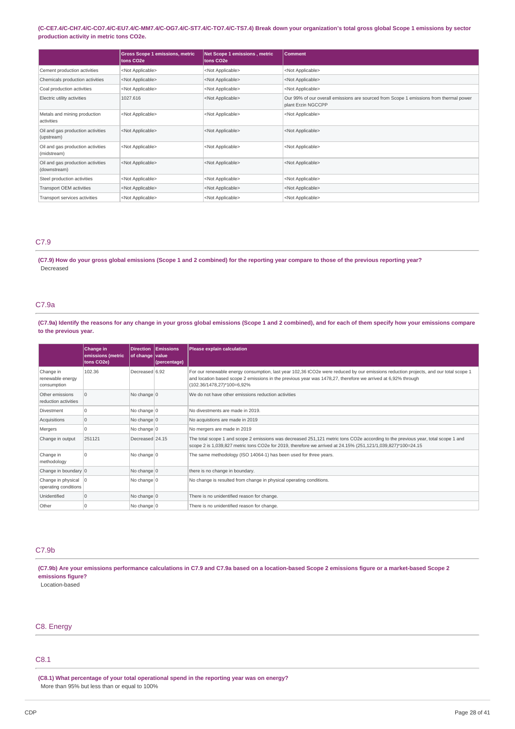#### (C-CE7.4/C-CH7.4/C-CO7.4/C-EU7.4/C-MM7.4/C-OG7.4/C-ST7.4/C-TO7.4/C-TS7.4) Break down your organization's total gross global Scope 1 emissions by sector **production activity in metric tons CO2e.**

|                                                   | <b>Gross Scope 1 emissions, metric</b><br>tons CO <sub>2</sub> e | Net Scope 1 emissions, metric<br>tons CO <sub>2</sub> e | <b>Comment</b>                                                                                               |
|---------------------------------------------------|------------------------------------------------------------------|---------------------------------------------------------|--------------------------------------------------------------------------------------------------------------|
| Cement production activities                      | <not applicable=""></not>                                        | <not applicable=""></not>                               | <not applicable=""></not>                                                                                    |
| Chemicals production activities                   | <not applicable=""></not>                                        | <not applicable=""></not>                               | <not applicable=""></not>                                                                                    |
| Coal production activities                        | <not applicable=""></not>                                        | <not applicable=""></not>                               | <not applicable=""></not>                                                                                    |
| Electric utility activities                       | 1027.616                                                         | <not applicable=""></not>                               | Our 99% of our overall emissions are sourced from Scope 1 emissions from thermal power<br>plant Erzin NGCCPP |
| Metals and mining production<br>activities        | <not applicable=""></not>                                        | <not applicable=""></not>                               | <not applicable=""></not>                                                                                    |
| Oil and gas production activities<br>(upstream)   | <not applicable=""></not>                                        | <not applicable=""></not>                               | <not applicable=""></not>                                                                                    |
| Oil and gas production activities<br>(midstream)  | <not applicable=""></not>                                        | <not applicable=""></not>                               | <not applicable=""></not>                                                                                    |
| Oil and gas production activities<br>(downstream) | <not applicable=""></not>                                        | <not applicable=""></not>                               | <not applicable=""></not>                                                                                    |
| Steel production activities                       | <not applicable=""></not>                                        | <not applicable=""></not>                               | <not applicable=""></not>                                                                                    |
| Transport OEM activities                          | <not applicable=""></not>                                        | <not applicable=""></not>                               | <not applicable=""></not>                                                                                    |
| Transport services activities                     | <not applicable=""></not>                                        | <not applicable=""></not>                               | <not applicable=""></not>                                                                                    |

# C7.9

(C7.9) How do your gross global emissions (Scope 1 and 2 combined) for the reporting year compare to those of the previous reporting year? Decreased

### C7.9a

(C7.9a) Identify the reasons for any change in your gross global emissions (Scope 1 and 2 combined), and for each of them specify how your emissions compare **to the previous year.**

|                                                        | Change in<br>emissions (metric<br>tons CO2e) | <b>Direction</b><br>of change value | Emissions<br>(percentage) | Please explain calculation                                                                                                                                                                                                                                                         |
|--------------------------------------------------------|----------------------------------------------|-------------------------------------|---------------------------|------------------------------------------------------------------------------------------------------------------------------------------------------------------------------------------------------------------------------------------------------------------------------------|
| Change in<br>renewable energy<br>consumption           | 102.36                                       | Decreased 6.92                      |                           | For our renewable energy consumption, last year 102,36 tCO2e were reduced by our emissions reduction projects, and our total scope 1<br>and location based scope 2 emissions in the previous year was 1478,27, therefore we arrived at 6,92% through<br>(102.36/1478,27)*100=6,92% |
| Other emissions<br>reduction activities                | $\Omega$                                     | No change 0                         |                           | We do not have other emissions reduction activities                                                                                                                                                                                                                                |
| <b>Divestment</b>                                      | $\Omega$                                     | No change 0                         |                           | No divestments are made in 2019.                                                                                                                                                                                                                                                   |
| Acquisitions                                           | $\Omega$                                     | No change $\vert 0 \vert$           |                           | No acquistions are made in 2019                                                                                                                                                                                                                                                    |
| Mergers                                                | $\Omega$                                     | No change 0                         |                           | No mergers are made in 2019                                                                                                                                                                                                                                                        |
| Change in output                                       | 251121                                       | Decreased 24.15                     |                           | The total scope 1 and scope 2 emissions was decreased 251,121 metric tons CO2e according to the previous year, total scope 1 and<br>scope 2 is 1,039,827 metric tons CO2e for 2019, therefore we arrived at 24.15% (251,121/1,039,827)*100=24.15                                   |
| Change in<br>methodology                               | $\Omega$                                     | No change $0$                       |                           | The same methodology (ISO 14064-1) has been used for three years.                                                                                                                                                                                                                  |
| Change in boundary 0                                   |                                              | No change $ 0$                      |                           | there is no change in boundary.                                                                                                                                                                                                                                                    |
| Change in physical $ 0\rangle$<br>operating conditions |                                              | No change $0$                       |                           | No change is resulted from change in physical operating conditions.                                                                                                                                                                                                                |
| Unidentified                                           | $\Omega$                                     | No change $0$                       |                           | There is no unidentified reason for change.                                                                                                                                                                                                                                        |
| Other                                                  | $\Omega$                                     | No change $ 0$                      |                           | There is no unidentified reason for change.                                                                                                                                                                                                                                        |

### C7.9b

(C7.9b) Are your emissions performance calculations in C7.9 and C7.9a based on a location-based Scope 2 emissions figure or a market-based Scope 2 **emissions figure?**

### Location-based

### C8. Energy

# C8.1

**(C8.1) What percentage of your total operational spend in the reporting year was on energy?** More than 95% but less than or equal to 100%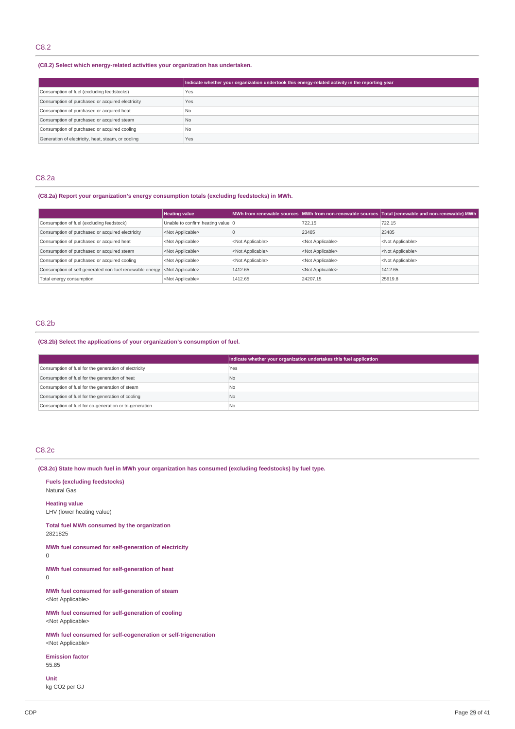### **(C8.2) Select which energy-related activities your organization has undertaken.**

|                                                    | Indicate whether your organization undertook this energy-related activity in the reporting year |
|----------------------------------------------------|-------------------------------------------------------------------------------------------------|
| Consumption of fuel (excluding feedstocks)         | Yes                                                                                             |
| Consumption of purchased or acquired electricity   | Yes                                                                                             |
| Consumption of purchased or acquired heat          | N <sub>0</sub>                                                                                  |
| Consumption of purchased or acquired steam         | N <sub>0</sub>                                                                                  |
| Consumption of purchased or acquired cooling       | N <sub>0</sub>                                                                                  |
| Generation of electricity, heat, steam, or cooling | Yes                                                                                             |

### C8.2a

### **(C8.2a) Report your organization's energy consumption totals (excluding feedstocks) in MWh.**

|                                                         | <b>Heating value</b>              |                           |                           | MWh from renewable sources MWh from non-renewable sources Total (renewable and non-renewable) MWh |
|---------------------------------------------------------|-----------------------------------|---------------------------|---------------------------|---------------------------------------------------------------------------------------------------|
| Consumption of fuel (excluding feedstock)               | Unable to confirm heating value 0 |                           | 722.15                    | 722.15                                                                                            |
| Consumption of purchased or acquired electricity        | <not applicable=""></not>         |                           | 23485                     | 23485                                                                                             |
| Consumption of purchased or acquired heat               | <not applicable=""></not>         | <not applicable=""></not> | <not applicable=""></not> | <not applicable=""></not>                                                                         |
| Consumption of purchased or acquired steam              | <not applicable=""></not>         | <not applicable=""></not> | <not applicable=""></not> | <not applicable=""></not>                                                                         |
| Consumption of purchased or acquired cooling            | <not applicable=""></not>         | <not applicable=""></not> | <not applicable=""></not> | <not applicable=""></not>                                                                         |
| Consumption of self-generated non-fuel renewable energy | <not applicable=""></not>         | 1412.65                   | <not applicable=""></not> | 1412.65                                                                                           |
| Total energy consumption                                | <not applicable=""></not>         | 1412.65                   | 24207.15                  | 25619.8                                                                                           |

### C8.2b

### **(C8.2b) Select the applications of your organization's consumption of fuel.**

|                                                         | Indicate whether your organization undertakes this fuel application |
|---------------------------------------------------------|---------------------------------------------------------------------|
| Consumption of fuel for the generation of electricity   | Yes                                                                 |
| Consumption of fuel for the generation of heat          | No.                                                                 |
| Consumption of fuel for the generation of steam         | I No                                                                |
| Consumption of fuel for the generation of cooling       | <b>No</b>                                                           |
| Consumption of fuel for co-generation or tri-generation | l No                                                                |

# C8.2c

**(C8.2c) State how much fuel in MWh your organization has consumed (excluding feedstocks) by fuel type.**

**Fuels (excluding feedstocks)** Natural Gas **Heating value** LHV (lower heating value) **Total fuel MWh consumed by the organization** 2821825 **MWh fuel consumed for self-generation of electricity** 0 **MWh fuel consumed for self-generation of heat** 0 **MWh fuel consumed for self-generation of steam** <Not Applicable> **MWh fuel consumed for self-generation of cooling** <Not Applicable> **MWh fuel consumed for self-cogeneration or self-trigeneration** <Not Applicable> **Emission factor** 55.85

**Unit**

kg CO2 per GJ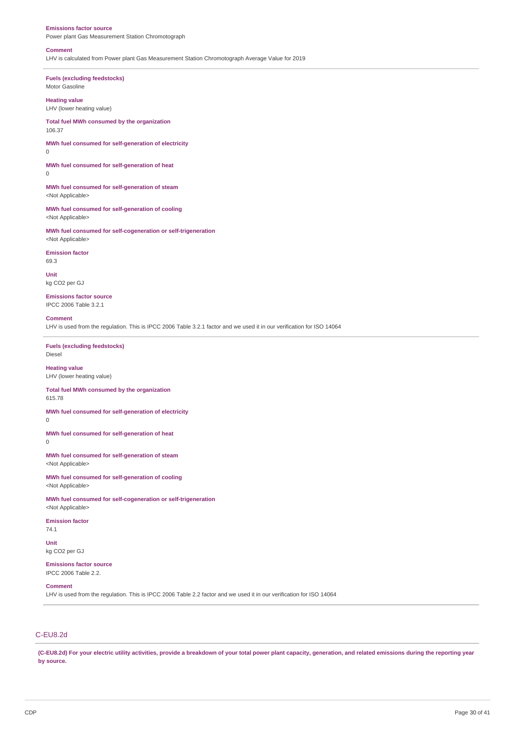#### **Emissions factor source**

Power plant Gas Measurement Station Chromotograph

#### **Comment**

LHV is calculated from Power plant Gas Measurement Station Chromotograph Average Value for 2019

**Fuels (excluding feedstocks)** Motor Gasoline

### **Heating value**

LHV (lower heating value)

**Total fuel MWh consumed by the organization** 106.37

**MWh fuel consumed for self-generation of electricity**  $\Omega$ 

**MWh fuel consumed for self-generation of heat**  $\Omega$ 

**MWh fuel consumed for self-generation of steam** <Not Applicable>

**MWh fuel consumed for self-generation of cooling** <Not Applicable>

**MWh fuel consumed for self-cogeneration or self-trigeneration** <Not Applicable>

#### **Emission factor**

69.3

**Unit** kg CO2 per GJ

**Emissions factor source** IPCC 2006 Table 3.2.1

#### **Comment**

LHV is used from the regulation. This is IPCC 2006 Table 3.2.1 factor and we used it in our verification for ISO 14064

**Fuels (excluding feedstocks)** Diesel

**Heating value** LHV (lower heating value)

**Total fuel MWh consumed by the organization** 615.78

**MWh fuel consumed for self-generation of electricity**

0

**MWh fuel consumed for self-generation of heat**

0

**MWh fuel consumed for self-generation of steam** <Not Applicable>

**MWh fuel consumed for self-generation of cooling** <Not Applicable>

**MWh fuel consumed for self-cogeneration or self-trigeneration** <Not Applicable>

**Emission factor** 74.1

**Unit** kg CO2 per GJ

**Emissions factor source** IPCC 2006 Table 2.2.

### **Comment**

LHV is used from the regulation. This is IPCC 2006 Table 2.2 factor and we used it in our verification for ISO 14064

# C-EU8.2d

(C-EU8.2d) For your electric utility activities, provide a breakdown of your total power plant capacity, generation, and related emissions during the reporting year **by source.**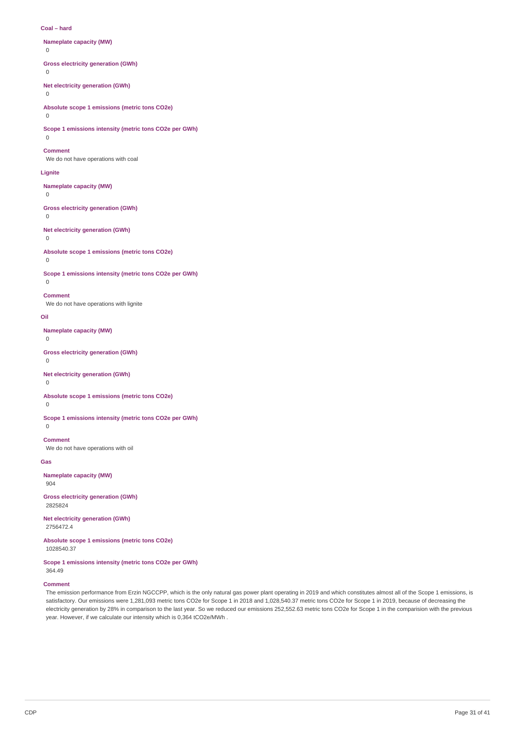#### **Coal – hard**

### **Nameplate capacity (MW)**

 $\Omega$ 

### **Gross electricity generation (GWh)**

 $\theta$ 

# **Net electricity generation (GWh)**

 $\Omega$ 

### **Absolute scope 1 emissions (metric tons CO2e)**

### $\Omega$

**Scope 1 emissions intensity (metric tons CO2e per GWh)**

# $\Omega$

**Comment**

# We do not have operations with coal

**Lignite**

#### **Nameplate capacity (MW)**

 $\overline{0}$ 

### **Gross electricity generation (GWh)**

0

# **Net electricity generation (GWh)**

# 0

**Absolute scope 1 emissions (metric tons CO2e)**

# $\theta$

 $\Omega$ 

**Scope 1 emissions intensity (metric tons CO2e per GWh)**

# **Comment**

We do not have operations with lignite

#### **Oil**

**Nameplate capacity (MW)**

 $\Omega$ 

**Gross electricity generation (GWh)**

#### $\Omega$

**Net electricity generation (GWh)**

0

### **Absolute scope 1 emissions (metric tons CO2e)**

 $\Omega$ 

**Scope 1 emissions intensity (metric tons CO2e per GWh)**  $\Omega$ 

# **Comment**

We do not have operations with oil

#### **Gas**

**Nameplate capacity (MW)** 904

### **Gross electricity generation (GWh)** 2825824

**Net electricity generation (GWh)** 2756472.4

**Absolute scope 1 emissions (metric tons CO2e)** 1028540.37

#### **Scope 1 emissions intensity (metric tons CO2e per GWh)** 364.49

### **Comment**

The emission performance from Erzin NGCCPP, which is the only natural gas power plant operating in 2019 and which constitutes almost all of the Scope 1 emissions, is satisfactory. Our emissions were 1,281,093 metric tons CO2e for Scope 1 in 2018 and 1,028,540.37 metric tons CO2e for Scope 1 in 2019, because of decreasing the electricity generation by 28% in comparison to the last year. So we reduced our emissions 252,552.63 metric tons CO2e for Scope 1 in the comparision with the previous year. However, if we calculate our intensity which is 0,364 tCO2e/MWh .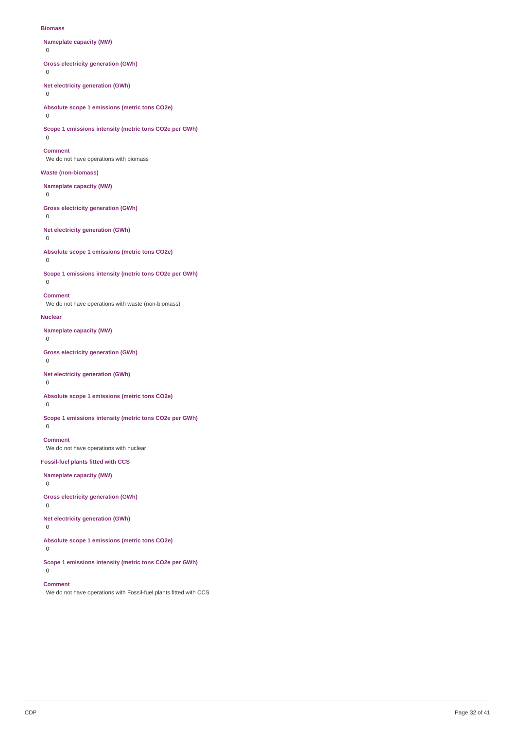#### **Biomass**

**Nameplate capacity (MW)**

 $\Omega$ 

**Gross electricity generation (GWh)**

 $\Omega$ 

**Net electricity generation (GWh)**

0

**Absolute scope 1 emissions (metric tons CO2e)**

 $\Omega$ 

**Scope 1 emissions intensity (metric tons CO2e per GWh)**

 $\Omega$ 

**Comment**

We do not have operations with biomass

### **Waste (non-biomass)**

**Nameplate capacity (MW)**

0

**Gross electricity generation (GWh)**

0

**Net electricity generation (GWh)**

0

**Absolute scope 1 emissions (metric tons CO2e)** 0

**Scope 1 emissions intensity (metric tons CO2e per GWh)**  $\Omega$ 

### **Comment**

We do not have operations with waste (non-biomass)

### **Nuclear**

**Nameplate capacity (MW)**

 $\Omega$ 

### **Gross electricity generation (GWh)**

 $\Omega$ 

# **Net electricity generation (GWh)**

0

# **Absolute scope 1 emissions (metric tons CO2e)**

 $\overline{0}$ 

**Scope 1 emissions intensity (metric tons CO2e per GWh)**  $\Omega$ 

# **Comment**

We do not have operations with nuclear

### **Fossil-fuel plants fitted with CCS**

**Nameplate capacity (MW)**

# 0

**Gross electricity generation (GWh)**

0

# **Net electricity generation (GWh)**

0

### **Absolute scope 1 emissions (metric tons CO2e)**

0

#### **Scope 1 emissions intensity (metric tons CO2e per GWh)**  $\Omega$

**Comment**

We do not have operations with Fossil-fuel plants fitted with CCS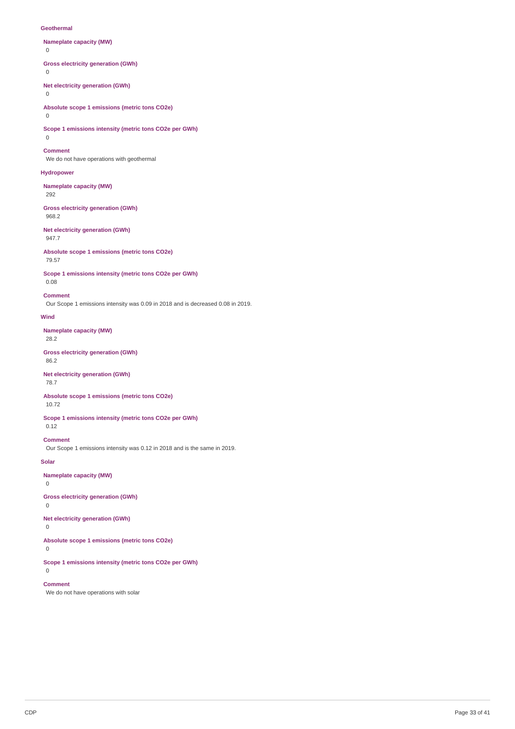#### **Geothermal**

- **Nameplate capacity (MW)**
- $\Omega$

**Gross electricity generation (GWh)**

 $\Omega$ 

**Net electricity generation (GWh)**

0

**Absolute scope 1 emissions (metric tons CO2e)**

 $\Omega$ 

**Scope 1 emissions intensity (metric tons CO2e per GWh)**  $\Omega$ 

### **Comment**

We do not have operations with geothermal

### **Hydropower**

**Nameplate capacity (MW)** 292

### **Gross electricity generation (GWh)** 968.2

### **Net electricity generation (GWh)** 947.7

**Absolute scope 1 emissions (metric tons CO2e)** 79.57

**Scope 1 emissions intensity (metric tons CO2e per GWh)** 0.08

#### **Comment**

Our Scope 1 emissions intensity was 0.09 in 2018 and is decreased 0.08 in 2019.

### **Wind**

**Nameplate capacity (MW)**

28.2

### **Gross electricity generation (GWh)** 86.2

#### **Net electricity generation (GWh)** 78.7

**Absolute scope 1 emissions (metric tons CO2e)** 10.72

**Scope 1 emissions intensity (metric tons CO2e per GWh)** 0.12

# **Comment**

Our Scope 1 emissions intensity was 0.12 in 2018 and is the same in 2019.

### **Solar**

**Nameplate capacity (MW)**

# 0

**Gross electricity generation (GWh)**

0

**Net electricity generation (GWh)**

0

**Absolute scope 1 emissions (metric tons CO2e)**

0

 $\Omega$ 

**Scope 1 emissions intensity (metric tons CO2e per GWh)**

### **Comment**

We do not have operations with solar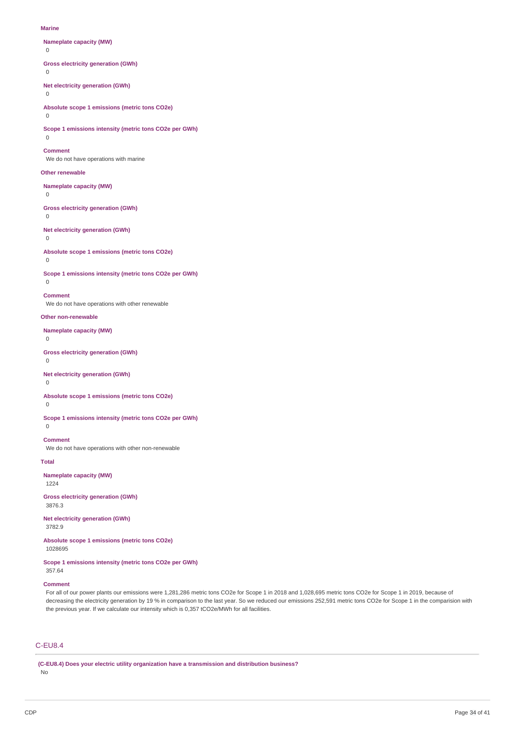#### **Marine**

### **Nameplate capacity (MW)**

 $\Omega$ 

**Gross electricity generation (GWh)**

 $\theta$ 

**Net electricity generation (GWh)**

### 0

**Absolute scope 1 emissions (metric tons CO2e)**

### $\Omega$

**Scope 1 emissions intensity (metric tons CO2e per GWh)**

# $\Omega$

**Comment**

We do not have operations with marine

### **Other renewable**

**Nameplate capacity (MW)**

 $\overline{0}$ 

**Gross electricity generation (GWh)**

# 0

**Net electricity generation (GWh)**

# 0

**Absolute scope 1 emissions (metric tons CO2e)**

# $\overline{0}$

**Scope 1 emissions intensity (metric tons CO2e per GWh)**  $\Omega$ 

### **Comment**

We do not have operations with other renewable

#### **Other non-renewable**

**Nameplate capacity (MW)**

 $\Omega$ 

### **Gross electricity generation (GWh)**

 $\Omega$ 

# **Net electricity generation (GWh)**

0

# **Absolute scope 1 emissions (metric tons CO2e)**

 $\theta$ 

**Scope 1 emissions intensity (metric tons CO2e per GWh)**

# $\Omega$

**Comment** We do not have operations with other non-renewable

**Total**

# **Nameplate capacity (MW)**

1224

### **Gross electricity generation (GWh)** 3876.3

**Net electricity generation (GWh)** 3782.9

**Absolute scope 1 emissions (metric tons CO2e)** 1028695

### **Scope 1 emissions intensity (metric tons CO2e per GWh)**

### 357.64

### **Comment**

For all of our power plants our emissions were 1,281,286 metric tons CO2e for Scope 1 in 2018 and 1,028,695 metric tons CO2e for Scope 1 in 2019, because of decreasing the electricity generation by 19 % in comparison to the last year. So we reduced our emissions 252,591 metric tons CO2e for Scope 1 in the comparision with the previous year. If we calculate our intensity which is 0,357 tCO2e/MWh for all facilities.

# C-EU8.4

**(C-EU8.4) Does your electric utility organization have a transmission and distribution business?** No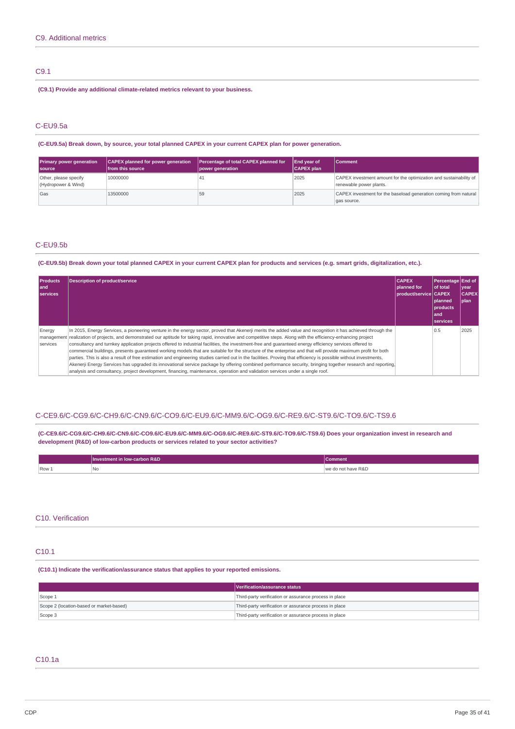# C9.1

**(C9.1) Provide any additional climate-related metrics relevant to your business.**

### C-EU9.5a

(C-EU9.5a) Break down, by source, your total planned CAPEX in your current CAPEX plan for power generation.

| <b>Primary power generation</b><br><b>Source</b> | CAPEX planned for power generation<br>from this source | Percentage of total CAPEX planned for<br>power generation | <b>End year of</b><br><b>CAPEX plan</b> | <b>Comment</b>                                                                                |
|--------------------------------------------------|--------------------------------------------------------|-----------------------------------------------------------|-----------------------------------------|-----------------------------------------------------------------------------------------------|
| Other, please specify<br>(Hydropower & Wind)     | 10000000                                               |                                                           | 2025                                    | CAPEX investment amount for the optimization and sustainability of<br>renewable power plants. |
| Gas                                              | 13500000                                               | 59                                                        | 2025                                    | CAPEX investment for the baseload generation coming from natural<br>gas source.               |

### C-EU9.5b

### (C-EU9.5b) Break down your total planned CAPEX in your current CAPEX plan for products and services (e.g. smart grids, digitalization, etc.).

| <b>Products</b><br>land<br>services | <b>Description of product/service</b>                                                                                                                                                                                                                                                                                                                                                                                                                                                                                                                                                                                                                                                                                                                                                                                                                                                                                                                                                                                                                                                                                  | <b>CAPEX</b><br><b>Dianned</b> for<br>  product/service   CAPEX | Percentage End of<br>of total<br><b>Danned</b><br>products<br>l and<br>services | vear <br><b>CAPEX</b><br>l plan |
|-------------------------------------|------------------------------------------------------------------------------------------------------------------------------------------------------------------------------------------------------------------------------------------------------------------------------------------------------------------------------------------------------------------------------------------------------------------------------------------------------------------------------------------------------------------------------------------------------------------------------------------------------------------------------------------------------------------------------------------------------------------------------------------------------------------------------------------------------------------------------------------------------------------------------------------------------------------------------------------------------------------------------------------------------------------------------------------------------------------------------------------------------------------------|-----------------------------------------------------------------|---------------------------------------------------------------------------------|---------------------------------|
| Energy<br>management<br>services    | In 2015, Energy Services, a pioneering venture in the energy sector, proved that Akenerji merits the added value and recognition it has achieved through the<br>realization of projects, and demonstrated our aptitude for taking rapid, innovative and competitive steps. Along with the efficiency-enhancing project<br>consultancy and turnkey application projects offered to industrial facilities, the investment-free and quaranteed energy efficiency services offered to<br>commercial buildings, presents quaranteed working models that are suitable for the structure of the enterprise and that will provide maximum profit for both<br>parties. This is also a result of free estimation and engineering studies carried out in the facilities. Proving that efficiency is possible without investments,<br>Akenerji Energy Services has upgraded its innovational service package by offering combined performance security, bringing together research and reporting.<br>analysis and consultancy, project development, financing, maintenance, operation and validation services under a single roof. |                                                                 | 0.5                                                                             | 2025                            |

### C-CE9.6/C-CG9.6/C-CH9.6/C-CN9.6/C-CO9.6/C-EU9.6/C-MM9.6/C-OG9.6/C-RE9.6/C-ST9.6/C-TO9.6/C-TS9.6

**(C-CE9.6/C-CG9.6/C-CH9.6/C-CN9.6/C-CO9.6/C-EU9.6/C-MM9.6/C-OG9.6/C-RE9.6/C-ST9.6/C-TO9.6/C-TS9.6) Does your organization invest in research and development (R&D) of low-carbon products or services related to your sector activities?**

|       | <b>Investment in low-carbon R&amp;D</b> | Comment'           |
|-------|-----------------------------------------|--------------------|
| Row 1 | l No                                    | we do not have R&D |

### C10. Verification

### C10.1

**(C10.1) Indicate the verification/assurance status that applies to your reported emissions.**

|                                          | Verification/assurance status                          |
|------------------------------------------|--------------------------------------------------------|
| Scope 1                                  | Third-party verification or assurance process in place |
| Scope 2 (location-based or market-based) | Third-party verification or assurance process in place |
| Scope 3                                  | Third-party verification or assurance process in place |

# C10.1a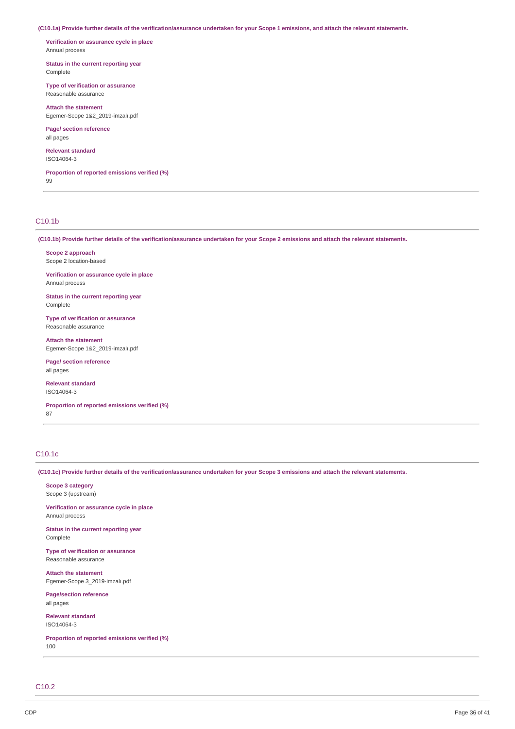(C10.1a) Provide further details of the verification/assurance undertaken for your Scope 1 emissions, and attach the relevant statements.

**Verification or assurance cycle in place** Annual process

**Status in the current reporting year** Complete

**Type of verification or assurance** Reasonable assurance

**Attach the statement** Egemer-Scope 1&2\_2019-imzalı.pdf

**Page/ section reference** all pages

**Relevant standard** ISO14064-3

**Proportion of reported emissions verified (%)** 99

### C10.1b

(C10.1b) Provide further details of the verification/assurance undertaken for your Scope 2 emissions and attach the relevant statements.

**Scope 2 approach** Scope 2 location-based

**Verification or assurance cycle in place** Annual process

**Status in the current reporting year** Complete

**Type of verification or assurance** Reasonable assurance

**Attach the statement** Egemer-Scope 1&2\_2019-imzalı.pdf

**Page/ section reference** all pages

**Relevant standard** ISO14064-3

**Proportion of reported emissions verified (%)** 87

# C10.1c

(C10.1c) Provide further details of the verification/assurance undertaken for your Scope 3 emissions and attach the relevant statements.

**Scope 3 category** Scope 3 (upstream)

**Verification or assurance cycle in place** Annual process

**Status in the current reporting year** Complete

**Type of verification or assurance** Reasonable assurance

**Attach the statement** Egemer-Scope 3\_2019-imzalı.pdf

**Page/section reference** all pages

**Relevant standard** ISO14064-3

**Proportion of reported emissions verified (%)** 100

C10.2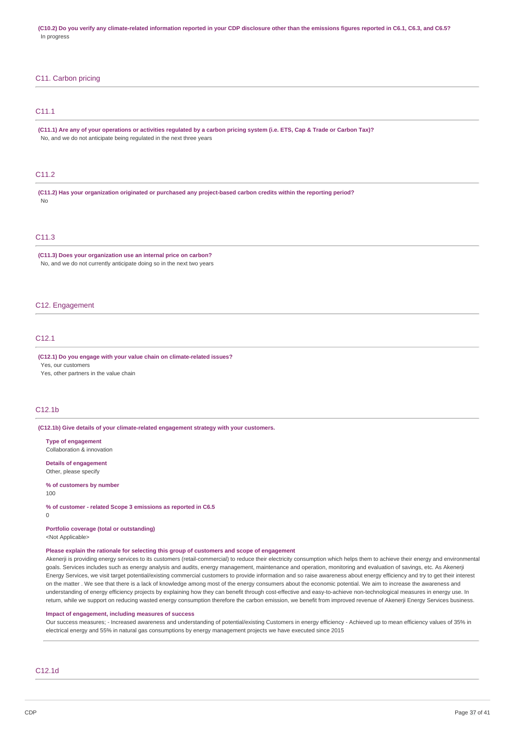(C10.2) Do you verify any climate-related information reported in your CDP disclosure other than the emissions figures reported in C6.1, C6.3, and C6.5? In progress

### C11. Carbon pricing

## C11.1

(C11.1) Are any of your operations or activities requlated by a carbon pricing system (i.e. ETS, Cap & Trade or Carbon Tax)? No, and we do not anticipate being regulated in the next three years

### C11.2

**(C11.2) Has your organization originated or purchased any project-based carbon credits within the reporting period?** No

## $C11.3$

**(C11.3) Does your organization use an internal price on carbon?** No, and we do not currently anticipate doing so in the next two years

#### C12. Engagement

### C12.1

**(C12.1) Do you engage with your value chain on climate-related issues?**

Yes, our customers

Yes, other partners in the value chain

#### C12.1b

**(C12.1b) Give details of your climate-related engagement strategy with your customers.**

**Type of engagement** Collaboration & innovation

**Details of engagement** Other, please specify

### **% of customers by number**

100

 $\overline{0}$ 

**% of customer - related Scope 3 emissions as reported in C6.5**

**Portfolio coverage (total or outstanding)**

<Not Applicable>

#### **Please explain the rationale for selecting this group of customers and scope of engagement**

Akenerji is providing energy services to its customers (retail-commercial) to reduce their electricity consumption which helps them to achieve their energy and environmental goals. Services includes such as energy analysis and audits, energy management, maintenance and operation, monitoring and evaluation of savings, etc. As Akenerji Energy Services, we visit target potential/existing commercial customers to provide information and so raise awareness about energy efficiency and try to get their interest on the matter . We see that there is a lack of knowledge among most of the energy consumers about the economic potential. We aim to increase the awareness and understanding of energy efficiency projects by explaining how they can benefit through cost-effective and easy-to-achieve non-technological measures in energy use. In return, while we support on reducing wasted energy consumption therefore the carbon emission, we benefit from improved revenue of Akenerji Energy Services business.

#### **Impact of engagement, including measures of success**

Our success measures; - Increased awareness and understanding of potential/existing Customers in energy efficiency - Achieved up to mean efficiency values of 35% in electrical energy and 55% in natural gas consumptions by energy management projects we have executed since 2015

### C12.1d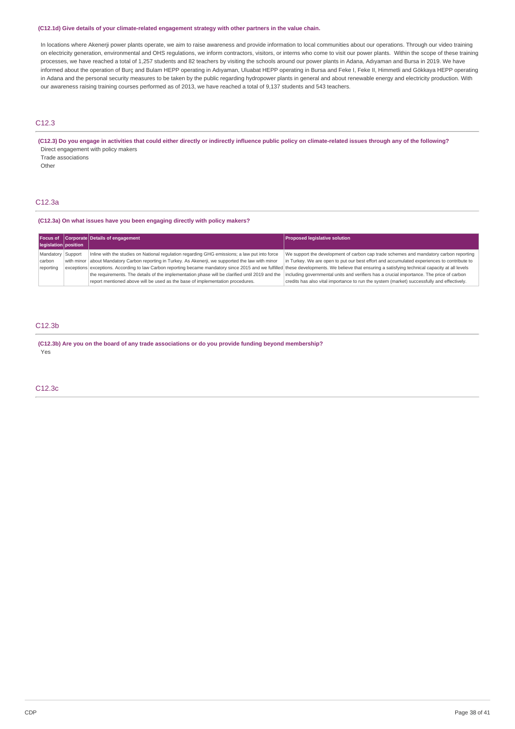### **(C12.1d) Give details of your climate-related engagement strategy with other partners in the value chain.**

In locations where Akenerji power plants operate, we aim to raise awareness and provide information to local communities about our operations. Through our video training on electricity generation, environmental and OHS regulations, we inform contractors, visitors, or interns who come to visit our power plants. Within the scope of these training processes, we have reached a total of 1,257 students and 82 teachers by visiting the schools around our power plants in Adana, Adıyaman and Bursa in 2019. We have informed about the operation of Burç and Bulam HEPP operating in Adıyaman, Uluabat HEPP operating in Bursa and Feke I, Feke II, Himmetli and Gökkaya HEPP operating in Adana and the personal security measures to be taken by the public regarding hydropower plants in general and about renewable energy and electricity production. With our awareness raising training courses performed as of 2013, we have reached a total of 9,137 students and 543 teachers.

### C12.3

## (C12.3) Do you engage in activities that could either directly or indirectly influence public policy on climate-related issues through any of the following? Direct engagement with policy makers

Trade associations

Other

### C12.3a

### **(C12.3a) On what issues have you been engaging directly with policy makers?**

| legislation position                     | Focus of Corporate Details of engagement                                                                                                                                                                                                                                                                                                                                                                                                                                                                                                                                                   | <b>Proposed legislative solution</b>                                                                                                                                                                                                                                                                                                                                          |
|------------------------------------------|--------------------------------------------------------------------------------------------------------------------------------------------------------------------------------------------------------------------------------------------------------------------------------------------------------------------------------------------------------------------------------------------------------------------------------------------------------------------------------------------------------------------------------------------------------------------------------------------|-------------------------------------------------------------------------------------------------------------------------------------------------------------------------------------------------------------------------------------------------------------------------------------------------------------------------------------------------------------------------------|
| Mandatory Support<br>carbon<br>reporting | Inline with the studies on National regulation regarding GHG emissions; a law put into force<br>with minor about Mandatory Carbon reporting in Turkey. As Akenerji, we supported the law with minor<br>exceptions exceptions. According to law Carbon reporting became mandatory since 2015 and we fulfilled these developments. We believe that ensuring a satisfying technical capacity at all levels<br>the requirements. The details of the implementation phase will be clarified until 2019 and the<br>report mentioned above will be used as the base of implementation procedures. | We support the development of carbon cap trade schemes and mandatory carbon reporting<br>in Turkey. We are open to put our best effort and accumulated experiences to contribute to<br>including governmental units and verifiers has a crucial importance. The price of carbon<br>credits has also vital importance to run the system (market) successfully and effectively. |

## C12.3b

**(C12.3b) Are you on the board of any trade associations or do you provide funding beyond membership?** Yes

### C12.3c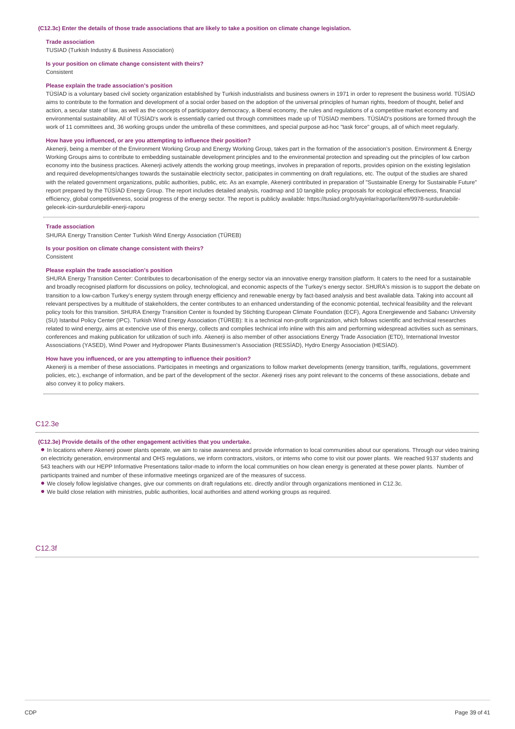#### **Trade association**

TUSIAD (Turkish Industry & Business Association)

#### **Is your position on climate change consistent with theirs?**

Consistent

#### **Please explain the trade association's position**

TÜSİAD is a voluntary based civil society organization established by Turkish industrialists and business owners in 1971 in order to represent the business world. TÜSİAD aims to contribute to the formation and development of a social order based on the adoption of the universal principles of human rights, freedom of thought, belief and action, a secular state of law, as well as the concepts of participatory democracy, a liberal economy, the rules and regulations of a competitive market economy and environmental sustainability. All of TÜSİAD's work is essentially carried out through committees made up of TÜSİAD members. TÜSİAD's positions are formed through the work of 11 committees and, 36 working groups under the umbrella of these committees, and special purpose ad-hoc "task force" groups, all of which meet regularly.

#### **How have you influenced, or are you attempting to influence their position?**

Akenerji, being a member of the Environment Working Group and Energy Working Group, takes part in the formation of the association's position. Environment & Energy Working Groups aims to contribute to embedding sustainable development principles and to the environmental protection and spreading out the principles of low carbon economy into the business practices. Akenerji actively attends the working group meetings, involves in preparation of reports, provides opinion on the existing legislation and required developments/changes towards the sustainable electricity sector, paticipates in commenting on draft regulations, etc. The output of the studies are shared with the related government organizations, public authorities, public, etc. As an example, Akenerji contributed in preparation of "Sustainable Energy for Sustainable Future" report prepared by the TÜSİAD Energy Group. The report includes detailed analysis, roadmap and 10 tangible policy proposals for ecological effectiveness, financial efficiency, global competitiveness, social progress of the energy sector. The report is publicly available: https://tusiad.org/tr/yayinlar/raporlar/item/9978-surdurulebilirgelecek-icin-surdurulebilir-enerji-raporu

#### **Trade association**

SHURA Energy Transition Center Turkish Wind Energy Association (TÜREB)

#### **Is your position on climate change consistent with theirs?**

Consistent

#### **Please explain the trade association's position**

SHURA Energy Transition Center: Contributes to decarbonisation of the energy sector via an innovative energy transition platform. It caters to the need for a sustainable and broadly recognised platform for discussions on policy, technological, and economic aspects of the Turkey's energy sector. SHURA's mission is to support the debate on transition to a low-carbon Turkey's energy system through energy efficiency and renewable energy by fact-based analysis and best available data. Taking into account all relevant perspectives by a multitude of stakeholders, the center contributes to an enhanced understanding of the economic potential, technical feasibility and the relevant policy tools for this transition. SHURA Energy Transition Center is founded by Stichting European Climate Foundation (ECF), Agora Energiewende and Sabancı University (SU) Istanbul Policy Center (IPC). Turkish Wind Energy Association (TÜREB): It is a technical non-profit organization, which follows scientific and technical researches related to wind energy, aims at extencive use of this energy, collects and complies technical info inline with this aim and performing widespread activities such as seminars. conferences and making publication for utilization of such info. Akenerji is also member of other associations Energy Trade Association (ETD), International Investor Assosciations (YASED), Wind Power and Hydropower Plants Businessmen's Association (RESSİAD), Hydro Energy Association (HESİAD).

#### **How have you influenced, or are you attempting to influence their position?**

Akenerji is a member of these associations. Participates in meetings and organizations to follow market developments (energy transition, tariffs, regulations, government policies, etc.), exchange of information, and be part of the development of the sector. Akenerji rises any point relevant to the concerns of these associations, debate and also convey it to policy makers.

### C12.3e

#### **(C12.3e) Provide details of the other engagement activities that you undertake.**

• In locations where Akenerji power plants operate, we aim to raise awareness and provide information to local communities about our operations. Through our video training on electricity generation, environmental and OHS regulations, we inform contractors, visitors, or interns who come to visit our power plants. We reached 9137 students and 543 teachers with our HEPP Informative Presentations tailor-made to inform the local communities on how clean energy is generated at these power plants. Number of participants trained and number of these informative meetings organized are of the measures of success.

• We closely follow legislative changes, give our comments on draft regulations etc. directly and/or through organizations mentioned in C12.3c.

• We build close relation with ministries, public authorities, local authorities and attend working groups as required.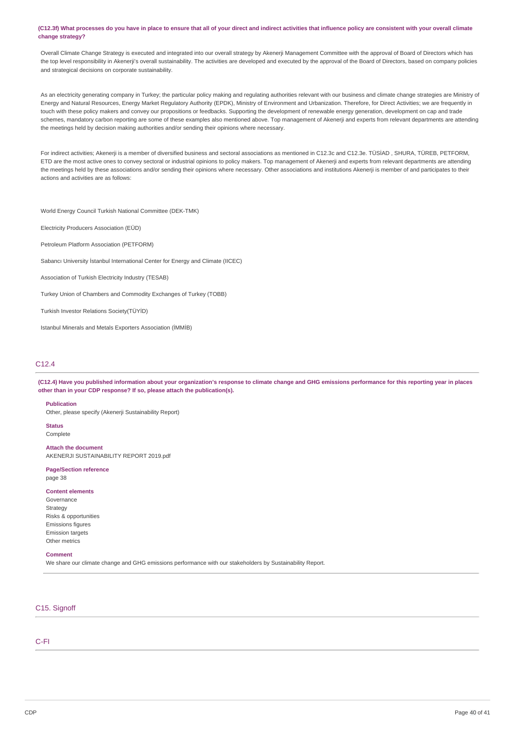### (C12.3f) What processes do you have in place to ensure that all of your direct and indirect activities that influence policy are consistent with your overall climate **change strategy?**

Overall Climate Change Strategy is executed and integrated into our overall strategy by Akenerji Management Committee with the approval of Board of Directors which has the top level responsibility in Akenerji's overall sustainability. The activities are developed and executed by the approval of the Board of Directors, based on company policies and strategical decisions on corporate sustainability.

As an electricity generating company in Turkey; the particular policy making and regulating authorities relevant with our business and climate change strategies are Ministry of Energy and Natural Resources, Energy Market Regulatory Authority (EPDK), Ministry of Environment and Urbanization. Therefore, for Direct Activities; we are frequently in touch with these policy makers and convey our propositions or feedbacks. Supporting the development of renewable energy generation, development on cap and trade schemes, mandatory carbon reporting are some of these examples also mentioned above. Top management of Akenerji and experts from relevant departments are attending the meetings held by decision making authorities and/or sending their opinions where necessary.

For indirect activities; Akenerji is a member of diversified business and sectoral associations as mentioned in C12.3c and C12.3e. TÜSİAD , SHURA, TÜREB, PETFORM, ETD are the most active ones to convey sectoral or industrial opinions to policy makers. Top management of Akenerji and experts from relevant departments are attending the meetings held by these associations and/or sending their opinions where necessary. Other associations and institutions Akenerji is member of and participates to their actions and activities are as follows:

World Energy Council Turkish National Committee (DEK-TMK)

Electricity Producers Association (EÜD)

Petroleum Platform Association (PETFORM)

Sabancı University İstanbul International Center for Energy and Climate (IICEC)

Association of Turkish Electricity Industry (TESAB)

Turkey Union of Chambers and Commodity Exchanges of Turkey (TOBB)

Turkish Investor Relations Society(TÜYİD)

Istanbul Minerals and Metals Exporters Association (İMMİB)

### C12.4

(C12.4) Have you published information about your organization's response to climate change and GHG emissions performance for this reporting year in places **other than in your CDP response? If so, please attach the publication(s).**

#### **Publication**

Other, please specify (Akenerji Sustainability Report)

**Status** Complete

**Attach the document** AKENERJI SUSTAINABILITY REPORT 2019.pdf

#### **Page/Section reference** page 38

#### **Content elements**

Governance Strategy Risks & opportunities Emissions figures Emission targets Other metrics

#### **Comment**

We share our climate change and GHG emissions performance with our stakeholders by Sustainability Report.

### C15. Signoff

C-FI